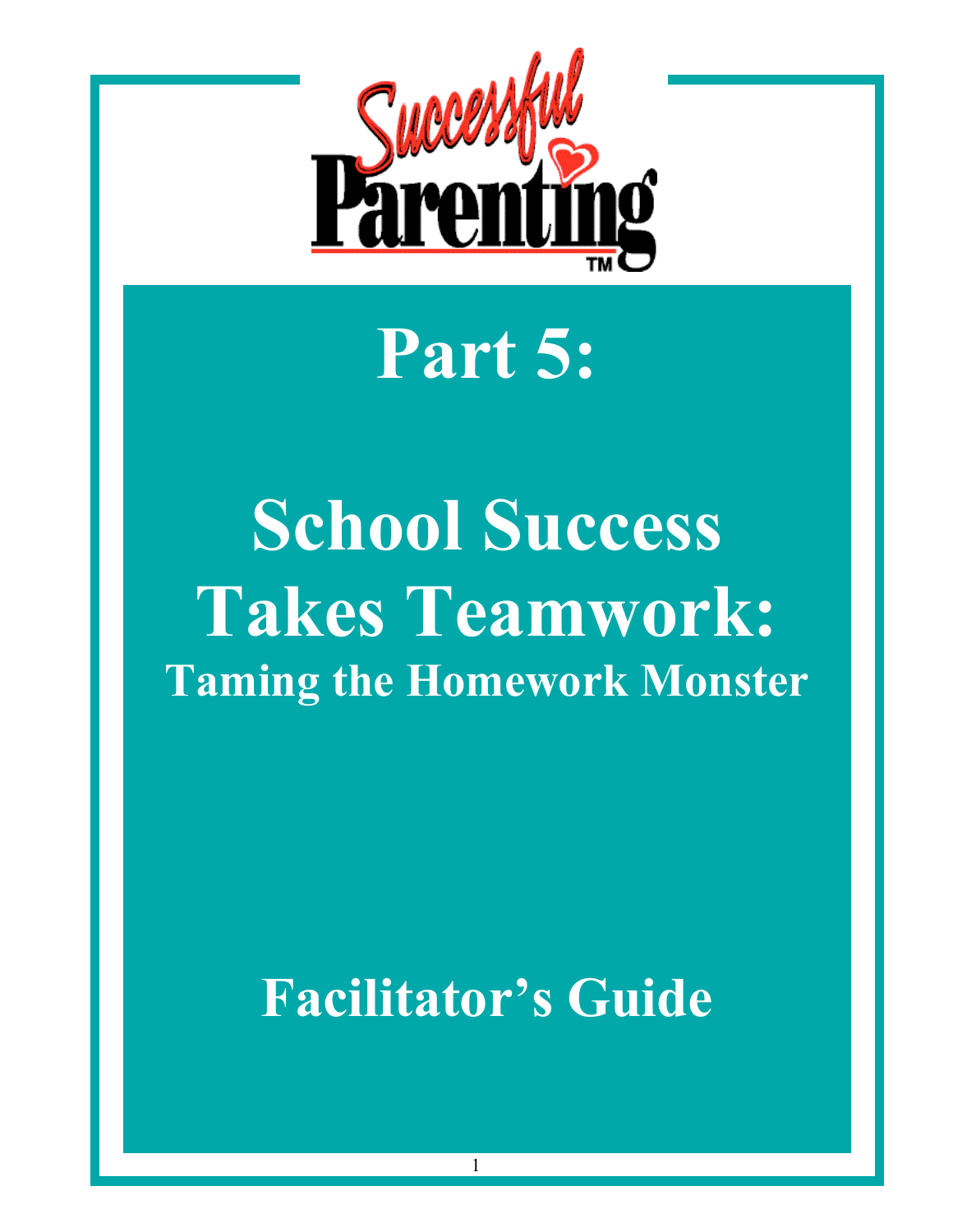

# **Part 5:**

# **School Success Takes Teamwork: Taming the Homework Monster**

## **Facilitator's Guide**

1

*© 1997 Active Parenting Publishers. The publisher grants user the right to duplicate this document only for use with the accompanying Successful Parenting video.*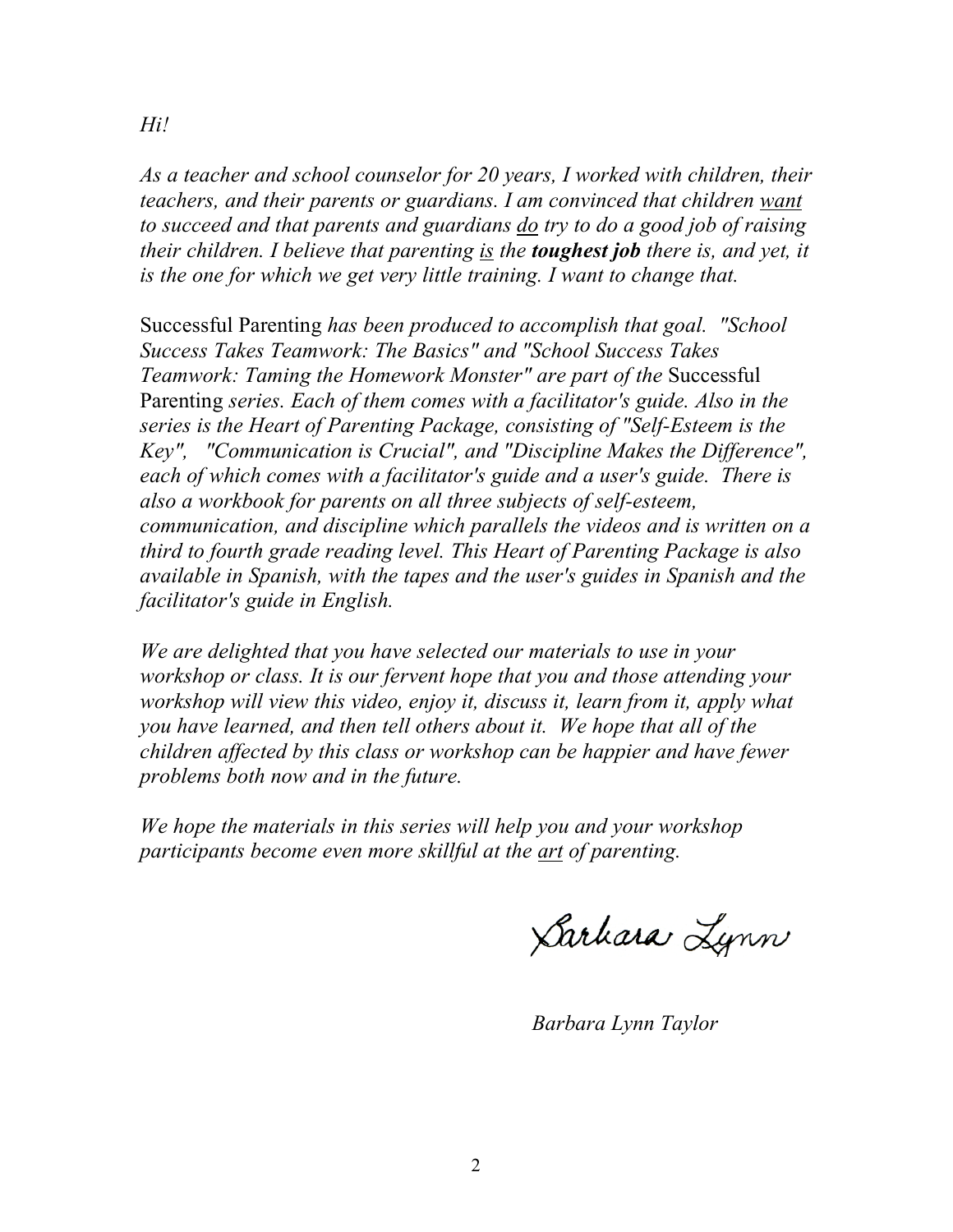*As a teacher and school counselor for 20 years, I worked with children, their teachers, and their parents or guardians. I am convinced that children want to succeed and that parents and guardians do try to do a good job of raising their children. I believe that parenting is the toughest job there is, and yet, it is the one for which we get very little training. I want to change that.*

Successful Parenting *has been produced to accomplish that goal. "School Success Takes Teamwork: The Basics" and "School Success Takes Teamwork: Taming the Homework Monster" are part of the* Successful Parenting *series. Each of them comes with a facilitator's guide. Also in the series is the Heart of Parenting Package, consisting of "Self-Esteem is the Key", "Communication is Crucial", and "Discipline Makes the Difference", each of which comes with a facilitator's guide and a user's guide. There is also a workbook for parents on all three subjects of self-esteem, communication, and discipline which parallels the videos and is written on a third to fourth grade reading level. This Heart of Parenting Package is also available in Spanish, with the tapes and the user's guides in Spanish and the facilitator's guide in English.*

*We are delighted that you have selected our materials to use in your workshop or class. It is our fervent hope that you and those attending your workshop will view this video, enjoy it, discuss it, learn from it, apply what you have learned, and then tell others about it. We hope that all of the children affected by this class or workshop can be happier and have fewer problems both now and in the future.*

*We hope the materials in this series will help you and your workshop participants become even more skillful at the art of parenting.*

Sarhara Lynn

*Barbara Lynn Taylor*

*Hi!*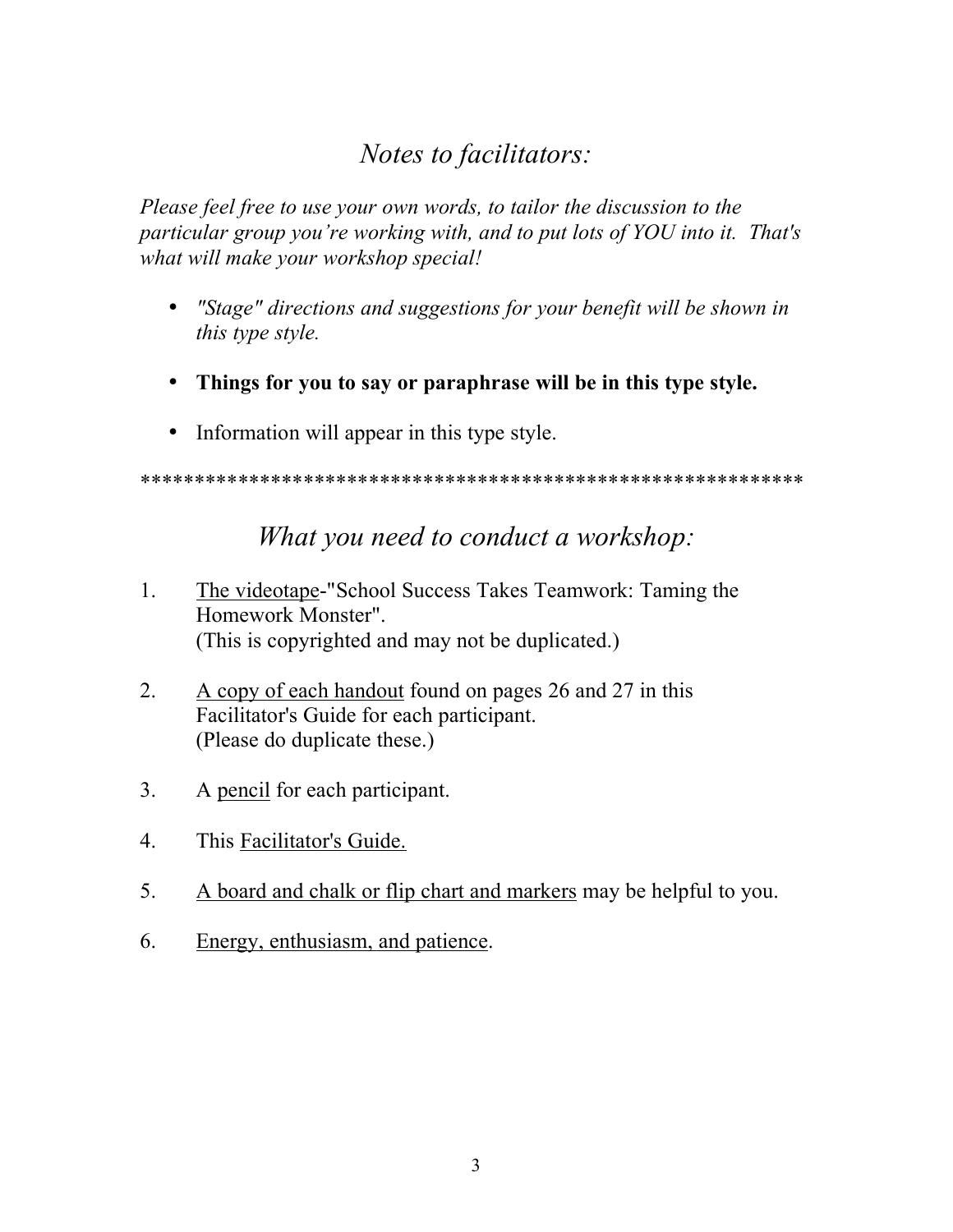### *Notes to facilitators:*

*Please feel free to use your own words, to tailor the discussion to the particular group you're working with, and to put lots of YOU into it. That's what will make your workshop special!*

- *"Stage" directions and suggestions for your benefit will be shown in this type style.*
- **Things for you to say or paraphrase will be in this type style.**
- Information will appear in this type style.

\*\*\*\*\*\*\*\*\*\*\*\*\*\*\*\*\*\*\*\*\*\*\*\*\*\*\*\*\*\*\*\*\*\*\*\*\*\*\*\*\*\*\*\*\*\*\*\*\*\*\*\*\*\*\*\*\*\*\*\*\*

#### *What you need to conduct a workshop:*

- 1. The videotape-"School Success Takes Teamwork: Taming the Homework Monster". (This is copyrighted and may not be duplicated.)
- 2. A copy of each handout found on pages 26 and 27 in this Facilitator's Guide for each participant. (Please do duplicate these.)
- 3. A pencil for each participant.
- 4. This Facilitator's Guide.
- 5. A board and chalk or flip chart and markers may be helpful to you.
- 6. Energy, enthusiasm, and patience.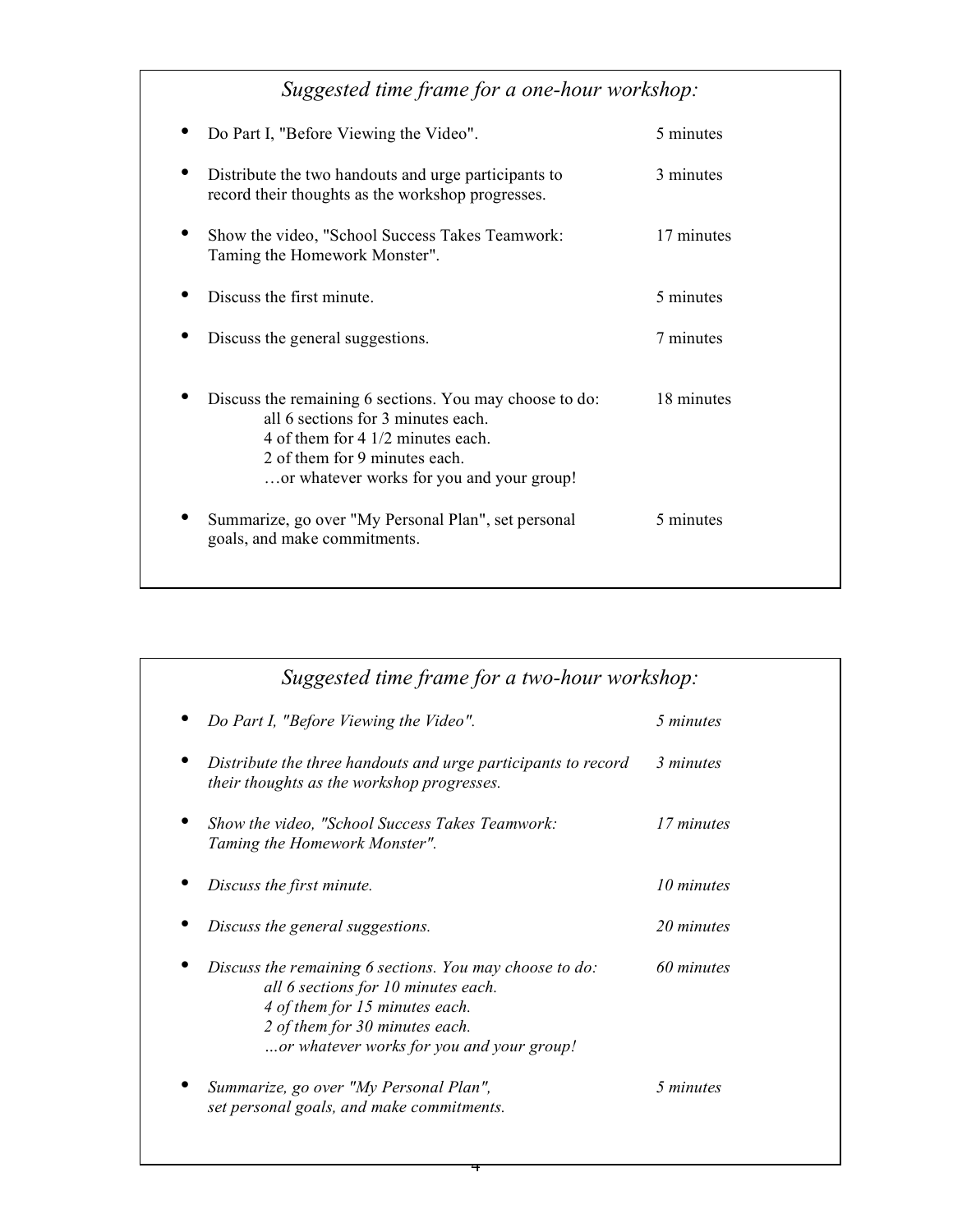| Suggested time frame for a one-hour workshop:                                                                                                                                                                    |            |  |
|------------------------------------------------------------------------------------------------------------------------------------------------------------------------------------------------------------------|------------|--|
| Do Part I, "Before Viewing the Video".                                                                                                                                                                           | 5 minutes  |  |
| Distribute the two handouts and urge participants to<br>record their thoughts as the workshop progresses.                                                                                                        | 3 minutes  |  |
| Show the video, "School Success Takes Teamwork:<br>Taming the Homework Monster".                                                                                                                                 | 17 minutes |  |
| Discuss the first minute.                                                                                                                                                                                        | 5 minutes  |  |
| Discuss the general suggestions.                                                                                                                                                                                 | 7 minutes  |  |
| Discuss the remaining 6 sections. You may choose to do:<br>all 6 sections for 3 minutes each.<br>4 of them for 4 1/2 minutes each.<br>2 of them for 9 minutes each.<br>or whatever works for you and your group! | 18 minutes |  |
| Summarize, go over "My Personal Plan", set personal<br>goals, and make commitments.                                                                                                                              | 5 minutes  |  |

| Suggested time frame for a two-hour workshop:                                                                                                                                                                   |            |
|-----------------------------------------------------------------------------------------------------------------------------------------------------------------------------------------------------------------|------------|
| Do Part I, "Before Viewing the Video".                                                                                                                                                                          | 5 minutes  |
| Distribute the three handouts and urge participants to record<br>their thoughts as the workshop progresses.                                                                                                     | 3 minutes  |
| Show the video, "School Success Takes Teamwork:<br>Taming the Homework Monster".                                                                                                                                | 17 minutes |
| Discuss the first minute.                                                                                                                                                                                       | 10 minutes |
| Discuss the general suggestions.                                                                                                                                                                                | 20 minutes |
| Discuss the remaining 6 sections. You may choose to do:<br>all 6 sections for 10 minutes each.<br>4 of them for 15 minutes each.<br>2 of them for 30 minutes each.<br>or whatever works for you and your group! | 60 minutes |
| Summarize, go over "My Personal Plan",<br>set personal goals, and make commitments.                                                                                                                             | 5 minutes  |

4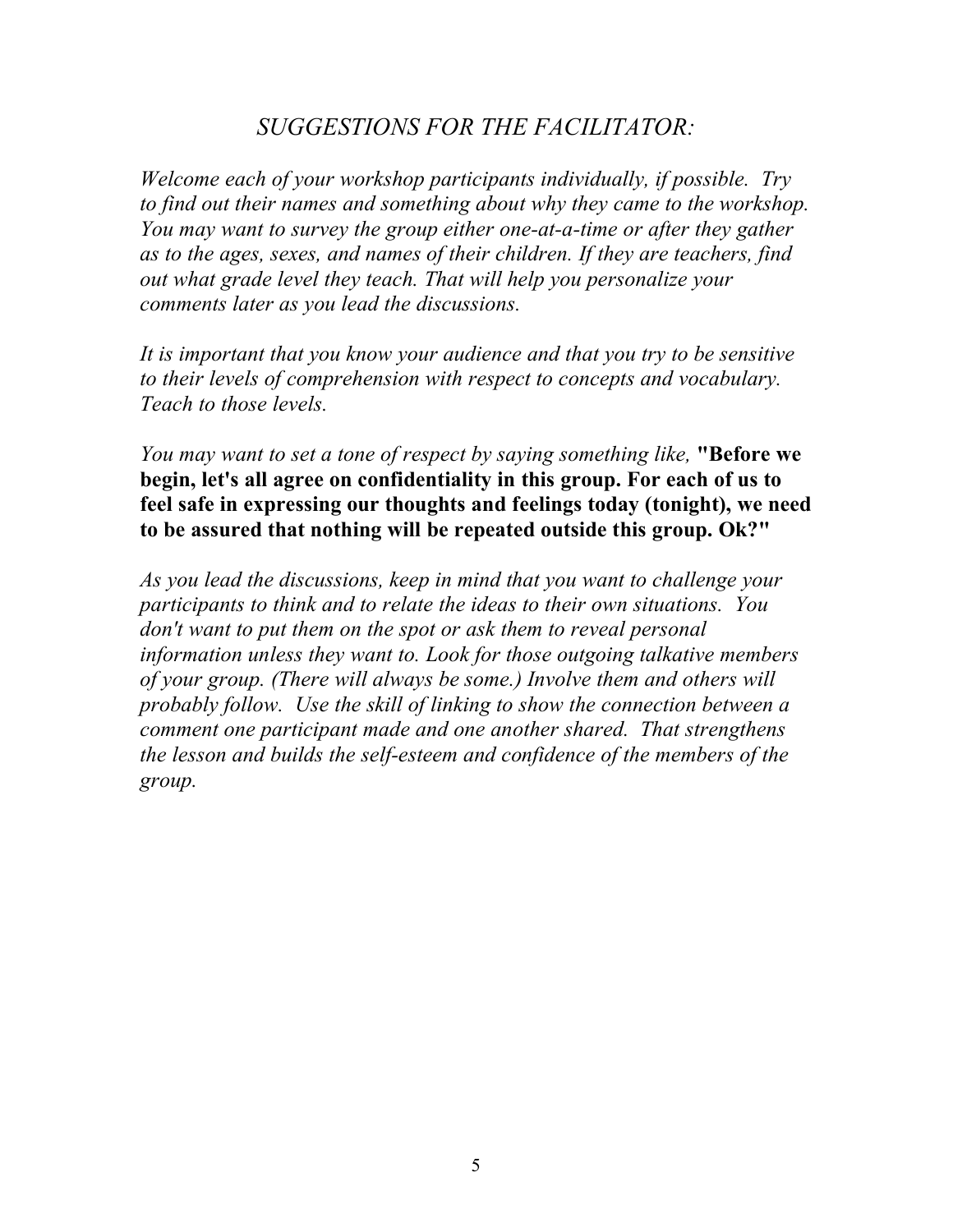#### *SUGGESTIONS FOR THE FACILITATOR:*

*Welcome each of your workshop participants individually, if possible. Try to find out their names and something about why they came to the workshop. You may want to survey the group either one-at-a-time or after they gather as to the ages, sexes, and names of their children. If they are teachers, find out what grade level they teach. That will help you personalize your comments later as you lead the discussions.*

*It is important that you know your audience and that you try to be sensitive to their levels of comprehension with respect to concepts and vocabulary. Teach to those levels.*

*You may want to set a tone of respect by saying something like,* **"Before we begin, let's all agree on confidentiality in this group. For each of us to feel safe in expressing our thoughts and feelings today (tonight), we need to be assured that nothing will be repeated outside this group. Ok?"**

*As you lead the discussions, keep in mind that you want to challenge your participants to think and to relate the ideas to their own situations. You don't want to put them on the spot or ask them to reveal personal information unless they want to. Look for those outgoing talkative members of your group. (There will always be some.) Involve them and others will probably follow. Use the skill of linking to show the connection between a comment one participant made and one another shared. That strengthens the lesson and builds the self-esteem and confidence of the members of the group.*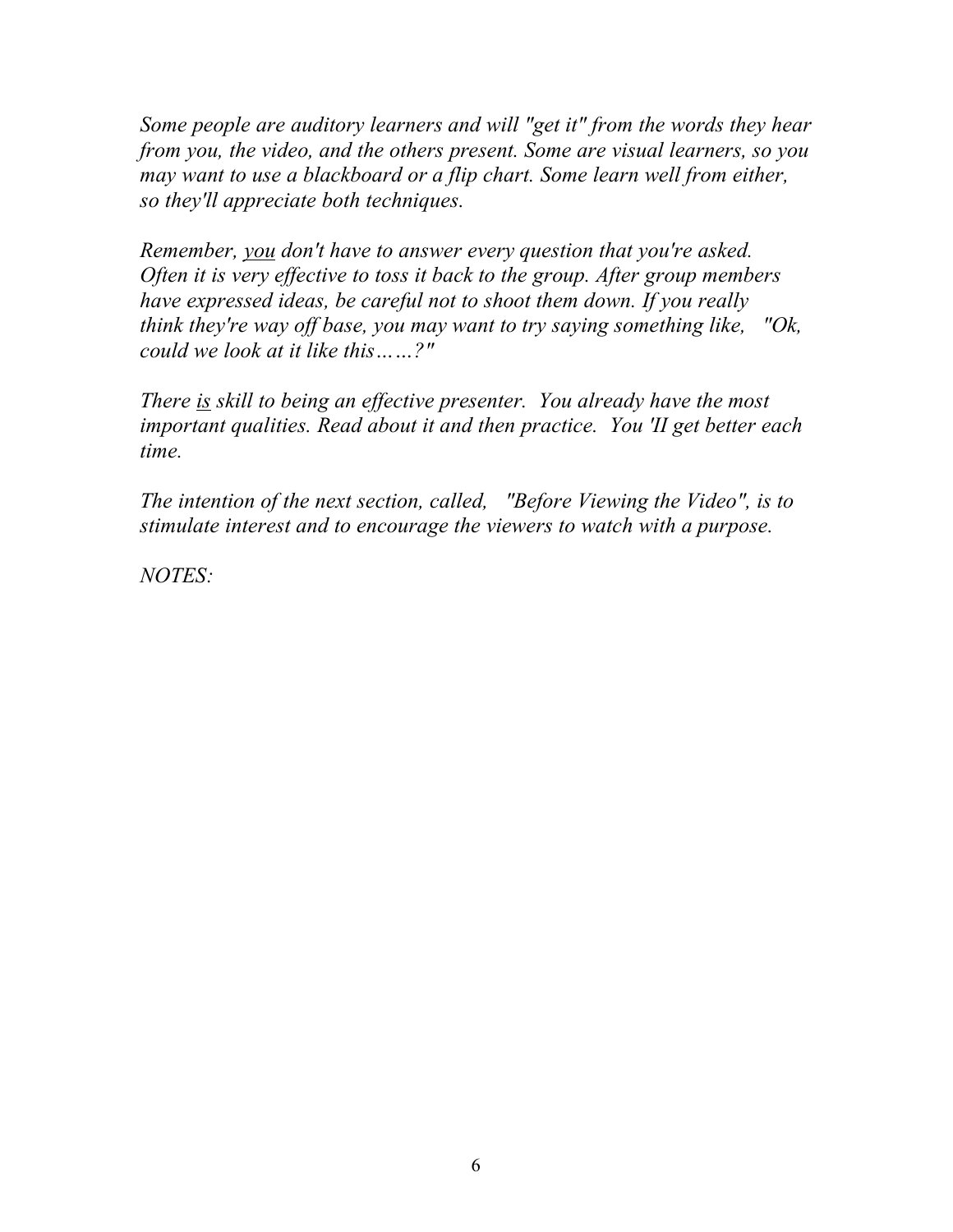*Some people are auditory learners and will "get it" from the words they hear from you, the video, and the others present. Some are visual learners, so you may want to use a blackboard or a flip chart. Some learn well from either, so they'll appreciate both techniques.*

*Remember, you don't have to answer every question that you're asked. Often it is very effective to toss it back to the group. After group members have expressed ideas, be careful not to shoot them down. If you really think they're way off base, you may want to try saying something like, "Ok, could we look at it like this……?"*

*There is skill to being an effective presenter. You already have the most important qualities. Read about it and then practice. You 'II get better each time.*

*The intention of the next section, called, "Before Viewing the Video", is to stimulate interest and to encourage the viewers to watch with a purpose.*

*NOTES:*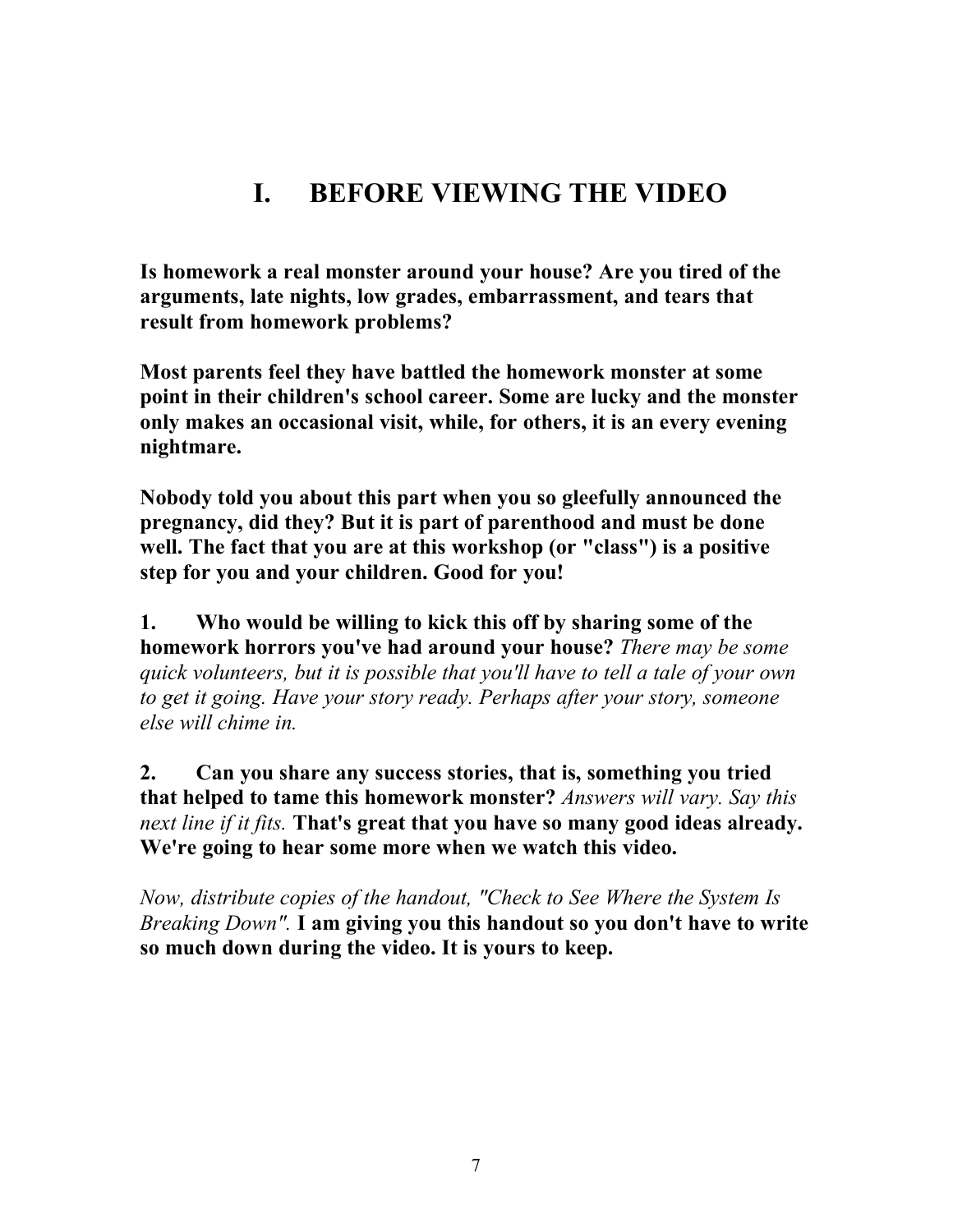## **I. BEFORE VIEWING THE VIDEO**

**Is homework a real monster around your house? Are you tired of the arguments, late nights, low grades, embarrassment, and tears that result from homework problems?**

**Most parents feel they have battled the homework monster at some point in their children's school career. Some are lucky and the monster only makes an occasional visit, while, for others, it is an every evening nightmare.**

**Nobody told you about this part when you so gleefully announced the pregnancy, did they? But it is part of parenthood and must be done well. The fact that you are at this workshop (or "class") is a positive step for you and your children. Good for you!**

**1. Who would be willing to kick this off by sharing some of the homework horrors you've had around your house?** *There may be some quick volunteers, but it is possible that you'll have to tell a tale of your own to get it going. Have your story ready. Perhaps after your story, someone else will chime in.*

**2. Can you share any success stories, that is, something you tried that helped to tame this homework monster?** *Answers will vary. Say this next line if it fits.* **That's great that you have so many good ideas already. We're going to hear some more when we watch this video.**

*Now, distribute copies of the handout, "Check to See Where the System Is Breaking Down".* **I am giving you this handout so you don't have to write so much down during the video. It is yours to keep.**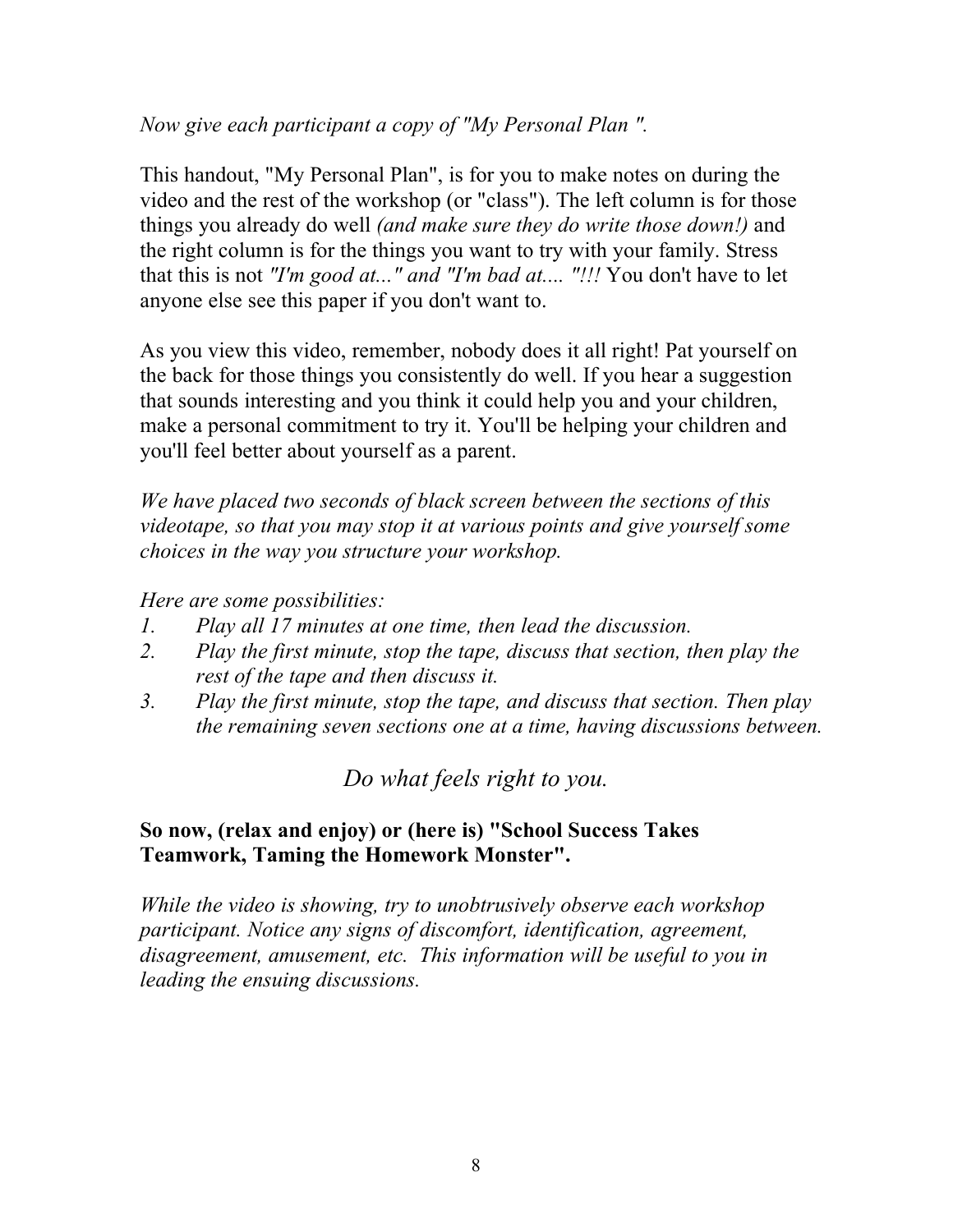*Now give each participant a copy of "My Personal Plan ".*

This handout, "My Personal Plan", is for you to make notes on during the video and the rest of the workshop (or "class"). The left column is for those things you already do well *(and make sure they do write those down!)* and the right column is for the things you want to try with your family. Stress that this is not *"I'm good at..." and "I'm bad at.... "!!!* You don't have to let anyone else see this paper if you don't want to.

As you view this video, remember, nobody does it all right! Pat yourself on the back for those things you consistently do well. If you hear a suggestion that sounds interesting and you think it could help you and your children, make a personal commitment to try it. You'll be helping your children and you'll feel better about yourself as a parent.

*We have placed two seconds of black screen between the sections of this videotape, so that you may stop it at various points and give yourself some choices in the way you structure your workshop.*

*Here are some possibilities:*

- *1. Play all 17 minutes at one time, then lead the discussion.*
- *2. Play the first minute, stop the tape, discuss that section, then play the rest of the tape and then discuss it.*
- *3. Play the first minute, stop the tape, and discuss that section. Then play the remaining seven sections one at a time, having discussions between.*

*Do what feels right to you.*

#### **So now, (relax and enjoy) or (here is) "School Success Takes Teamwork, Taming the Homework Monster".**

*While the video is showing, try to unobtrusively observe each workshop participant. Notice any signs of discomfort, identification, agreement, disagreement, amusement, etc. This information will be useful to you in leading the ensuing discussions.*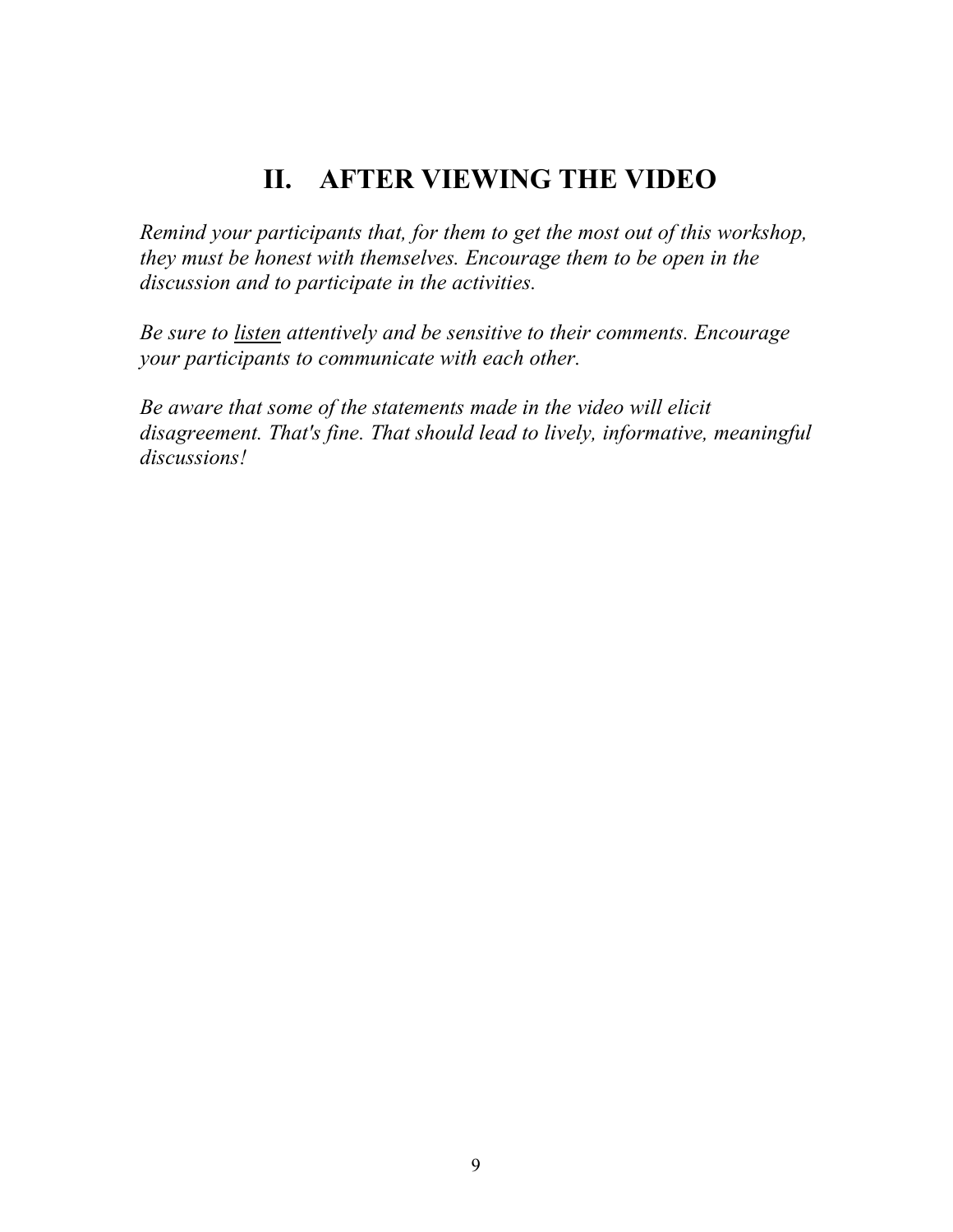### **II. AFTER VIEWING THE VIDEO**

*Remind your participants that, for them to get the most out of this workshop, they must be honest with themselves. Encourage them to be open in the discussion and to participate in the activities.*

*Be sure to listen attentively and be sensitive to their comments. Encourage your participants to communicate with each other.*

*Be aware that some of the statements made in the video will elicit disagreement. That's fine. That should lead to lively, informative, meaningful discussions!*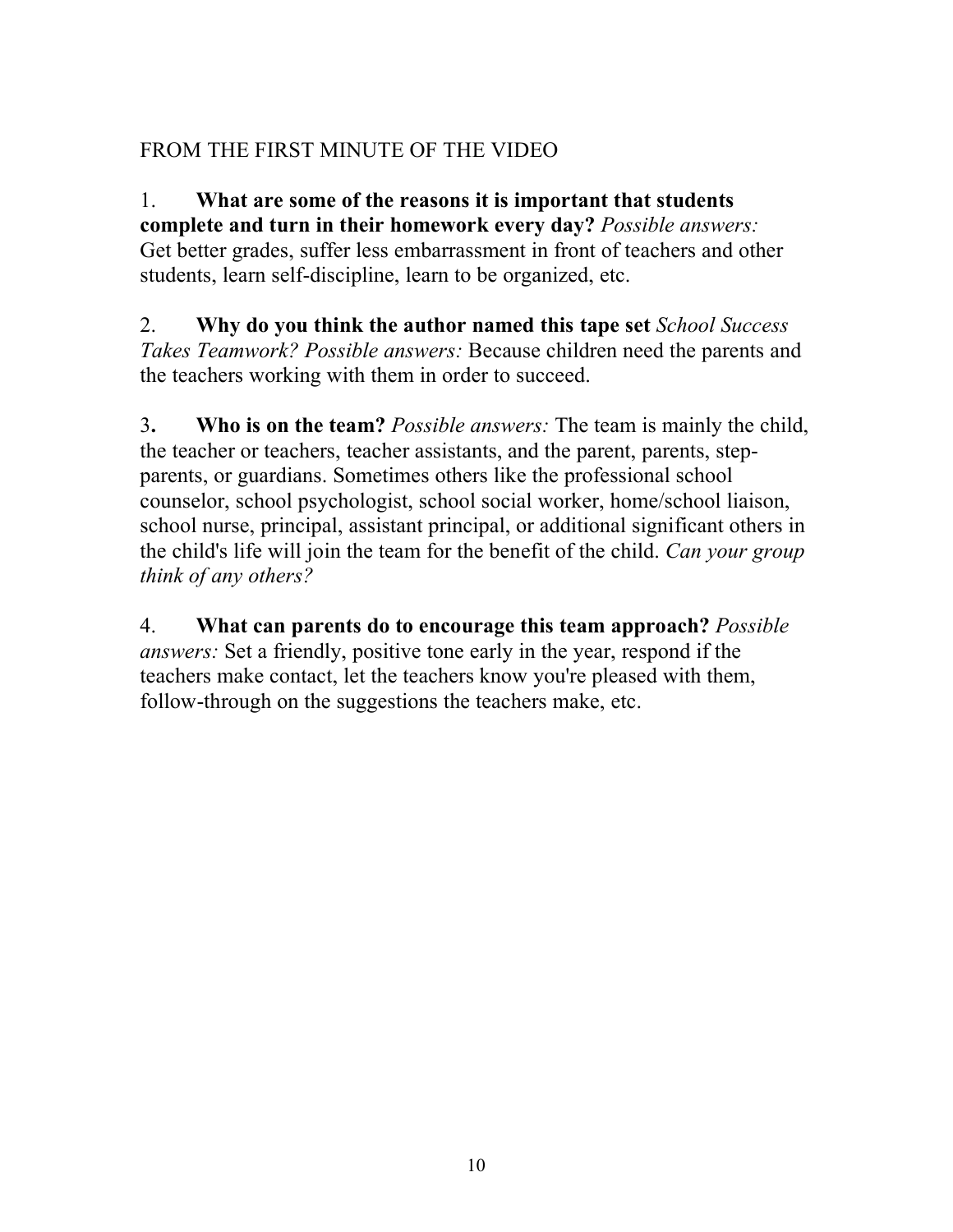#### FROM THE FIRST MINUTE OF THE VIDEO

1. **What are some of the reasons it is important that students complete and turn in their homework every day?** *Possible answers:* Get better grades, suffer less embarrassment in front of teachers and other students, learn self-discipline, learn to be organized, etc.

2. **Why do you think the author named this tape set** *School Success Takes Teamwork? Possible answers:* Because children need the parents and the teachers working with them in order to succeed.

3**. Who is on the team?** *Possible answers:* The team is mainly the child, the teacher or teachers, teacher assistants, and the parent, parents, stepparents, or guardians. Sometimes others like the professional school counselor, school psychologist, school social worker, home/school liaison, school nurse, principal, assistant principal, or additional significant others in the child's life will join the team for the benefit of the child. *Can your group think of any others?*

4. **What can parents do to encourage this team approach?** *Possible answers:* Set a friendly, positive tone early in the year, respond if the teachers make contact, let the teachers know you're pleased with them, follow-through on the suggestions the teachers make, etc.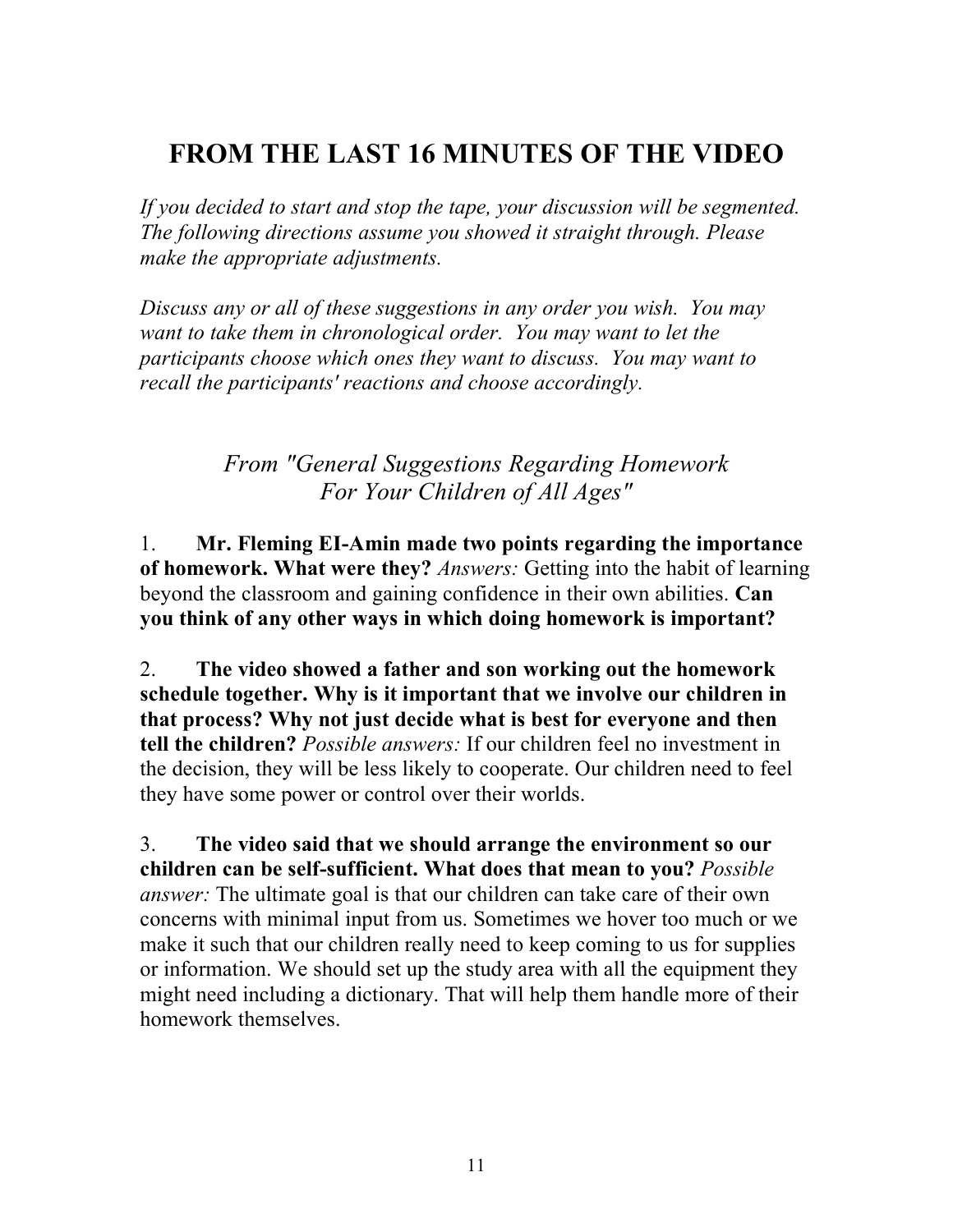## **FROM THE LAST 16 MINUTES OF THE VIDEO**

*If you decided to start and stop the tape, your discussion will be segmented. The following directions assume you showed it straight through. Please make the appropriate adjustments.*

*Discuss any or all of these suggestions in any order you wish. You may want to take them in chronological order. You may want to let the participants choose which ones they want to discuss. You may want to recall the participants' reactions and choose accordingly.*

#### *From "General Suggestions Regarding Homework For Your Children of All Ages"*

1. **Mr. Fleming EI-Amin made two points regarding the importance of homework. What were they?** *Answers:* Getting into the habit of learning beyond the classroom and gaining confidence in their own abilities. **Can you think of any other ways in which doing homework is important?**

2. **The video showed a father and son working out the homework schedule together. Why is it important that we involve our children in that process? Why not just decide what is best for everyone and then tell the children?** *Possible answers:* If our children feel no investment in the decision, they will be less likely to cooperate. Our children need to feel they have some power or control over their worlds.

3. **The video said that we should arrange the environment so our children can be self-sufficient. What does that mean to you?** *Possible answer:* The ultimate goal is that our children can take care of their own concerns with minimal input from us. Sometimes we hover too much or we make it such that our children really need to keep coming to us for supplies or information. We should set up the study area with all the equipment they might need including a dictionary. That will help them handle more of their homework themselves.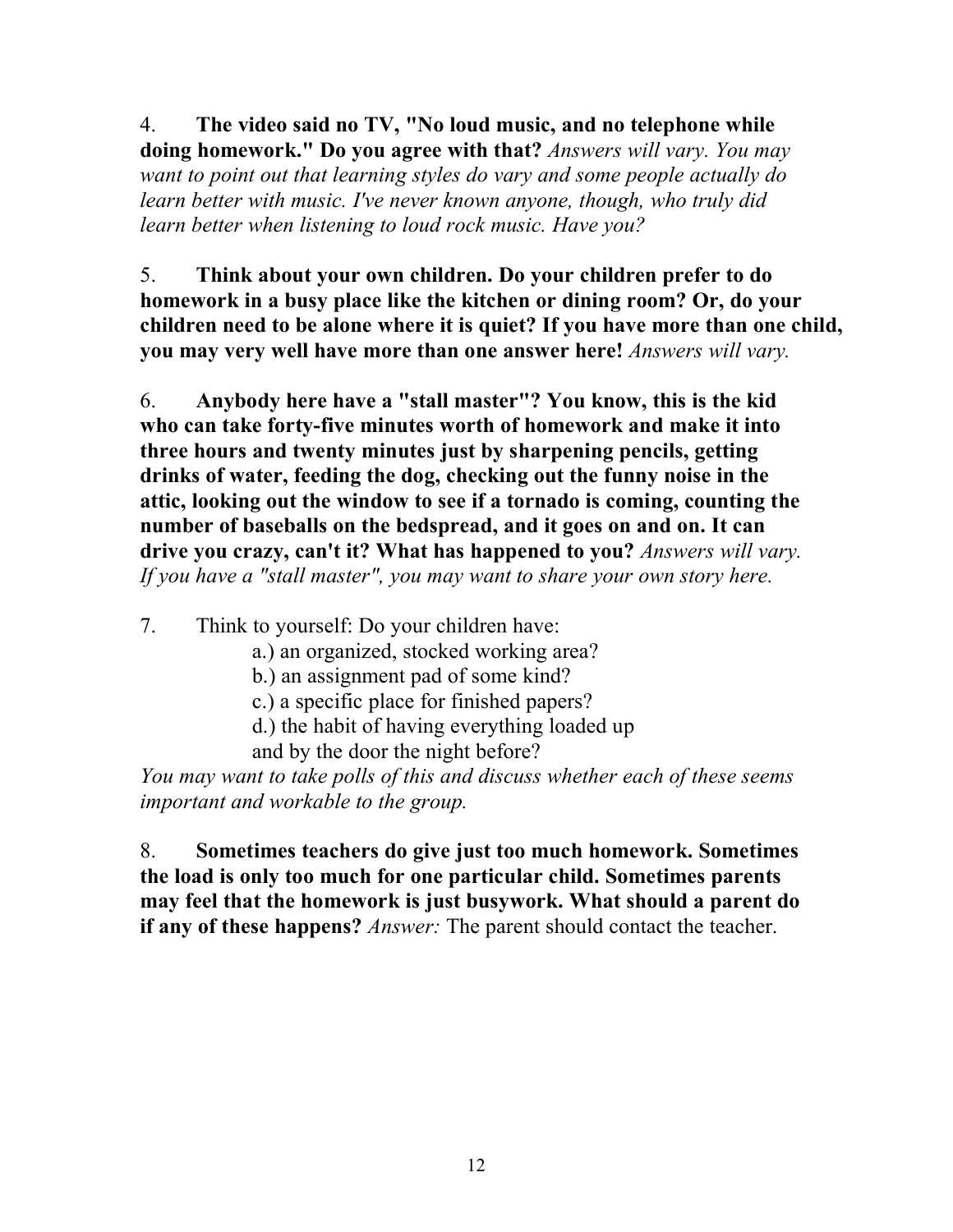4. **The video said no TV, "No loud music, and no telephone while doing homework." Do you agree with that?** *Answers will vary. You may want to point out that learning styles do vary and some people actually do learn better with music. I've never known anyone, though, who truly did learn better when listening to loud rock music. Have you?*

5. **Think about your own children. Do your children prefer to do homework in a busy place like the kitchen or dining room? Or, do your children need to be alone where it is quiet? If you have more than one child, you may very well have more than one answer here!** *Answers will vary.*

6. **Anybody here have a "stall master"? You know, this is the kid who can take forty-five minutes worth of homework and make it into three hours and twenty minutes just by sharpening pencils, getting drinks of water, feeding the dog, checking out the funny noise in the attic, looking out the window to see if a tornado is coming, counting the number of baseballs on the bedspread, and it goes on and on. It can drive you crazy, can't it? What has happened to you?** *Answers will vary. If you have a "stall master", you may want to share your own story here.*

7. Think to yourself: Do your children have:

- a.) an organized, stocked working area?
- b.) an assignment pad of some kind?
- c.) a specific place for finished papers?
- d.) the habit of having everything loaded up
- and by the door the night before?

*You may want to take polls of this and discuss whether each of these seems important and workable to the group.*

8. **Sometimes teachers do give just too much homework. Sometimes the load is only too much for one particular child. Sometimes parents may feel that the homework is just busywork. What should a parent do if any of these happens?** *Answer:* The parent should contact the teacher.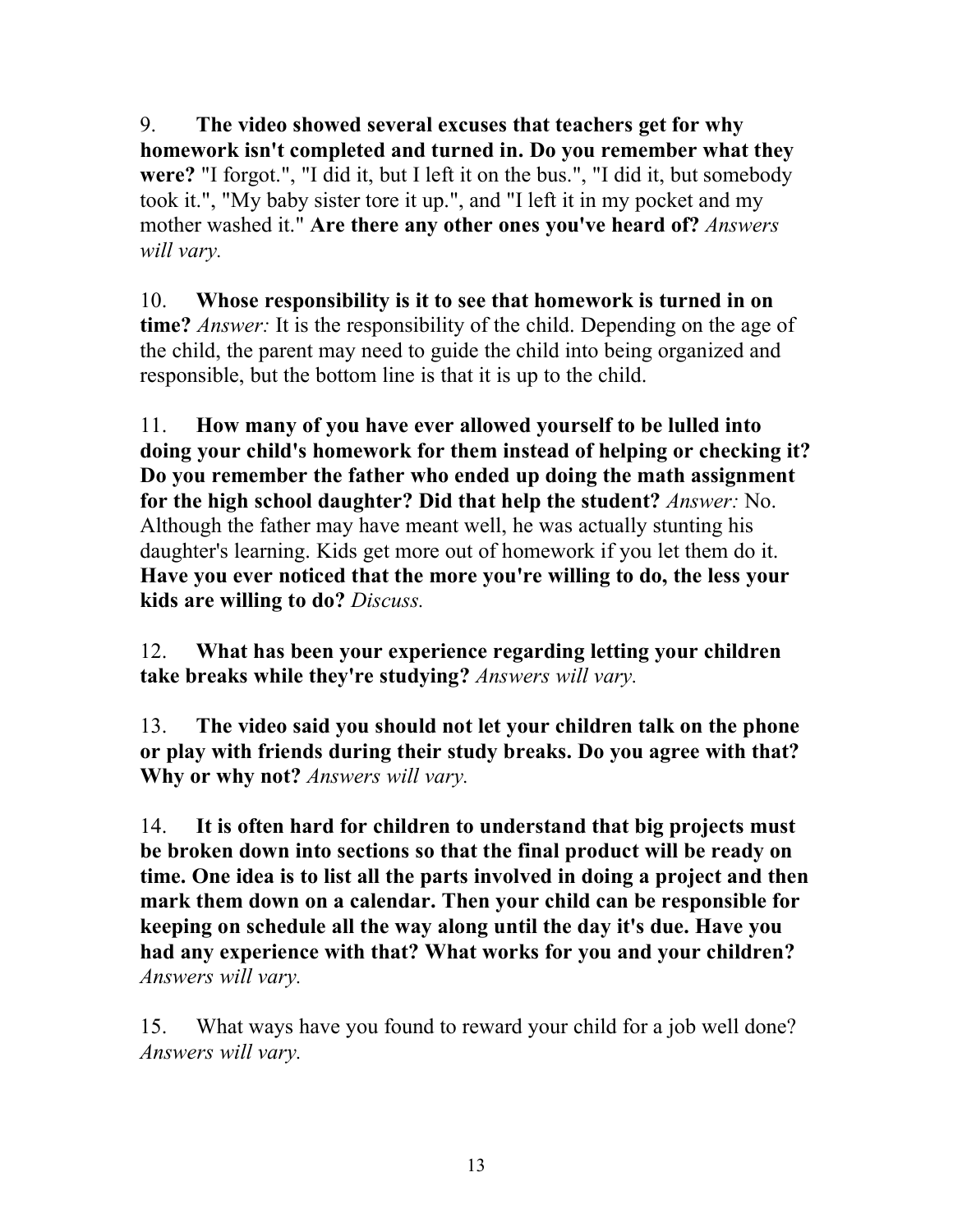9. **The video showed several excuses that teachers get for why homework isn't completed and turned in. Do you remember what they were?** "I forgot.", "I did it, but I left it on the bus.", "I did it, but somebody took it.", "My baby sister tore it up.", and "I left it in my pocket and my mother washed it." **Are there any other ones you've heard of?** *Answers will vary.*

10. **Whose responsibility is it to see that homework is turned in on time?** *Answer:* It is the responsibility of the child. Depending on the age of the child, the parent may need to guide the child into being organized and responsible, but the bottom line is that it is up to the child.

11. **How many of you have ever allowed yourself to be lulled into doing your child's homework for them instead of helping or checking it? Do you remember the father who ended up doing the math assignment for the high school daughter? Did that help the student?** *Answer:* No. Although the father may have meant well, he was actually stunting his daughter's learning. Kids get more out of homework if you let them do it. **Have you ever noticed that the more you're willing to do, the less your kids are willing to do?** *Discuss.*

12. **What has been your experience regarding letting your children take breaks while they're studying?** *Answers will vary.*

13. **The video said you should not let your children talk on the phone or play with friends during their study breaks. Do you agree with that? Why or why not?** *Answers will vary.*

14. **It is often hard for children to understand that big projects must be broken down into sections so that the final product will be ready on time. One idea is to list all the parts involved in doing a project and then mark them down on a calendar. Then your child can be responsible for keeping on schedule all the way along until the day it's due. Have you had any experience with that? What works for you and your children?** *Answers will vary.*

15. What ways have you found to reward your child for a job well done? *Answers will vary.*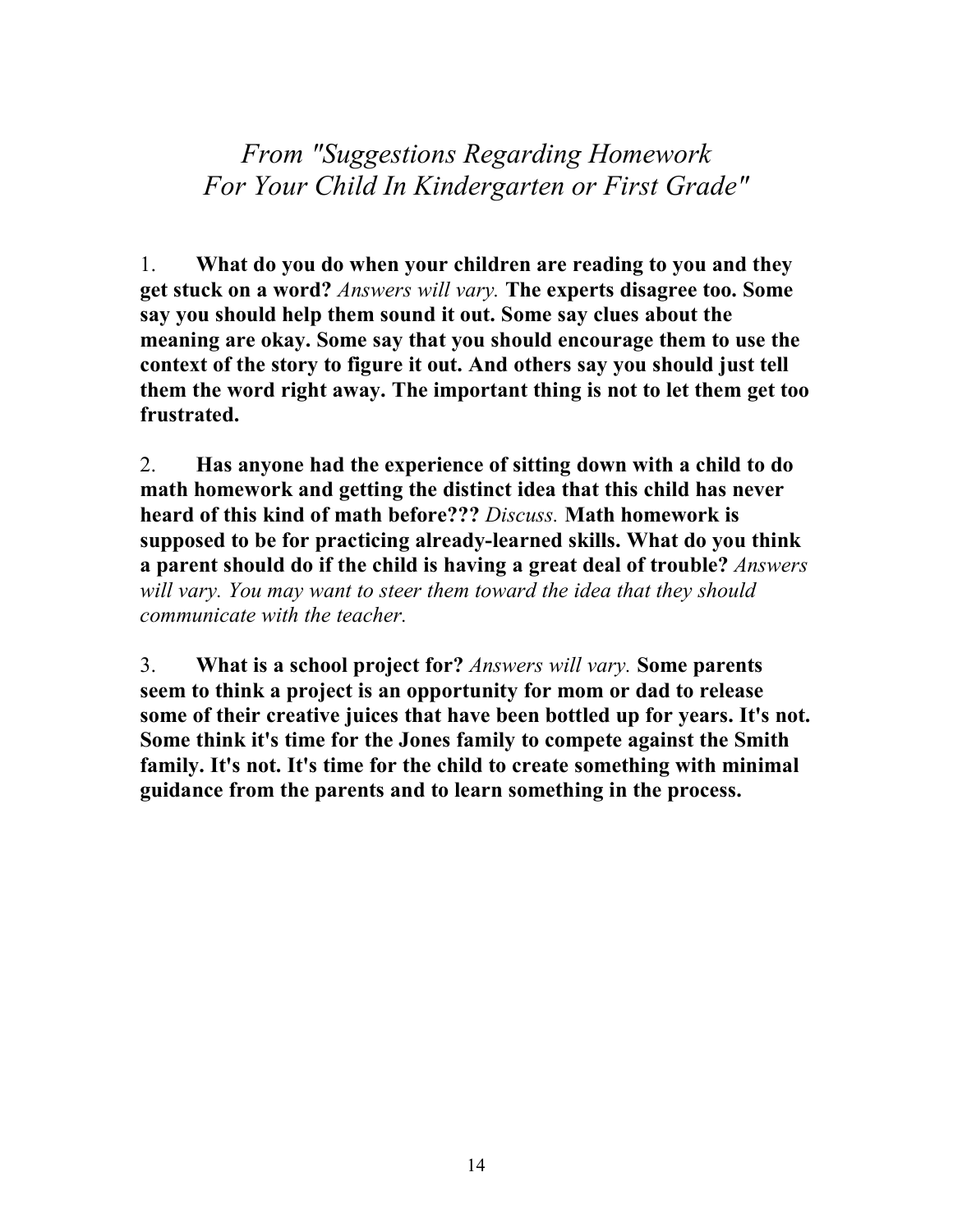*From "Suggestions Regarding Homework For Your Child In Kindergarten or First Grade"*

1. **What do you do when your children are reading to you and they get stuck on a word?** *Answers will vary.* **The experts disagree too. Some say you should help them sound it out. Some say clues about the meaning are okay. Some say that you should encourage them to use the context of the story to figure it out. And others say you should just tell them the word right away. The important thing is not to let them get too frustrated.**

2. **Has anyone had the experience of sitting down with a child to do math homework and getting the distinct idea that this child has never heard of this kind of math before???** *Discuss.* **Math homework is supposed to be for practicing already-learned skills. What do you think a parent should do if the child is having a great deal of trouble?** *Answers will vary. You may want to steer them toward the idea that they should communicate with the teacher.*

3. **What is a school project for?** *Answers will vary.* **Some parents seem to think a project is an opportunity for mom or dad to release some of their creative juices that have been bottled up for years. It's not. Some think it's time for the Jones family to compete against the Smith family. It's not. It's time for the child to create something with minimal guidance from the parents and to learn something in the process.**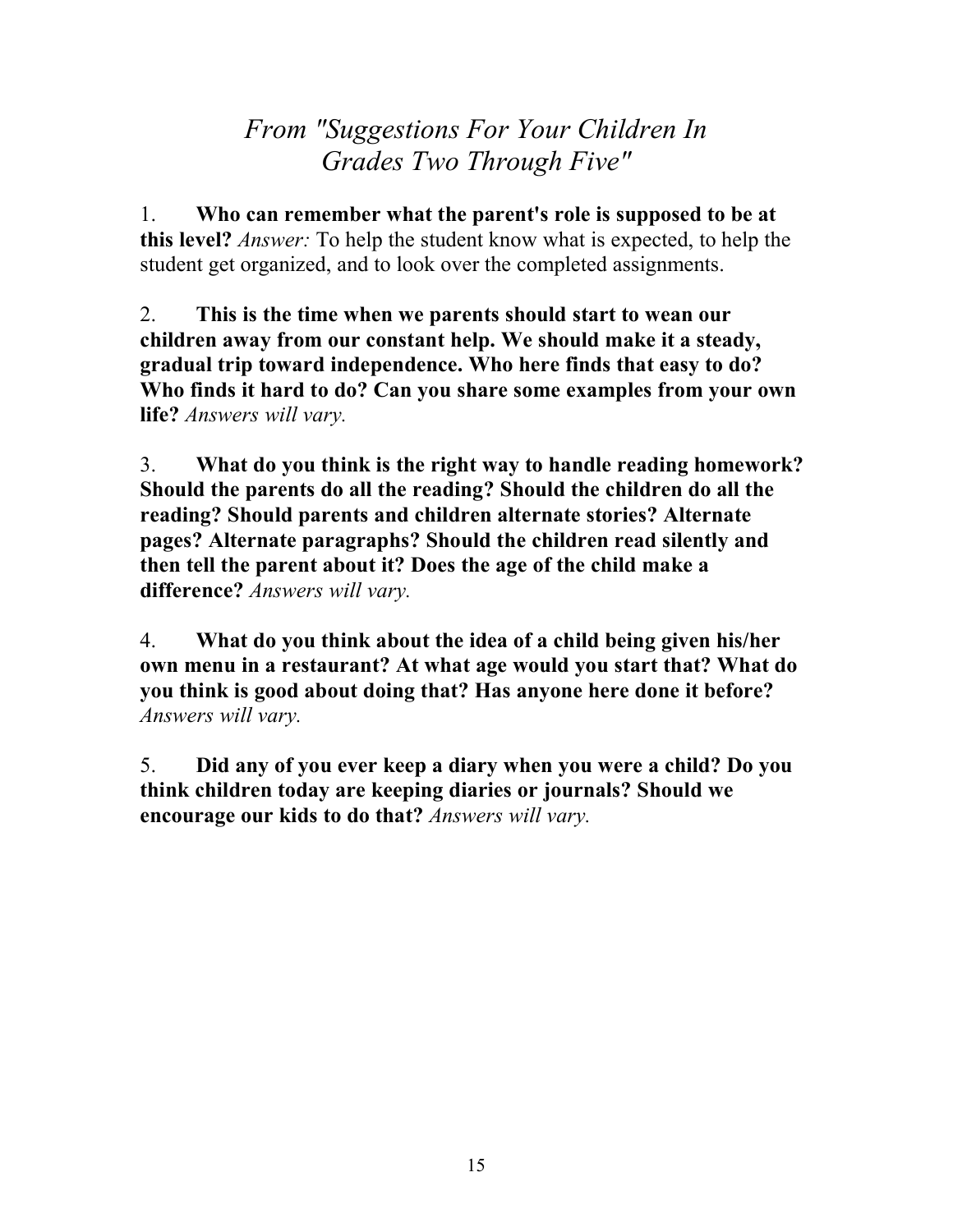## *From "Suggestions For Your Children In Grades Two Through Five"*

1. **Who can remember what the parent's role is supposed to be at this level?** *Answer:* To help the student know what is expected, to help the student get organized, and to look over the completed assignments.

2. **This is the time when we parents should start to wean our children away from our constant help. We should make it a steady, gradual trip toward independence. Who here finds that easy to do? Who finds it hard to do? Can you share some examples from your own life?** *Answers will vary.*

3. **What do you think is the right way to handle reading homework? Should the parents do all the reading? Should the children do all the reading? Should parents and children alternate stories? Alternate pages? Alternate paragraphs? Should the children read silently and then tell the parent about it? Does the age of the child make a difference?** *Answers will vary.*

4. **What do you think about the idea of a child being given his/her own menu in a restaurant? At what age would you start that? What do you think is good about doing that? Has anyone here done it before?** *Answers will vary.*

5. **Did any of you ever keep a diary when you were a child? Do you think children today are keeping diaries or journals? Should we encourage our kids to do that?** *Answers will vary.*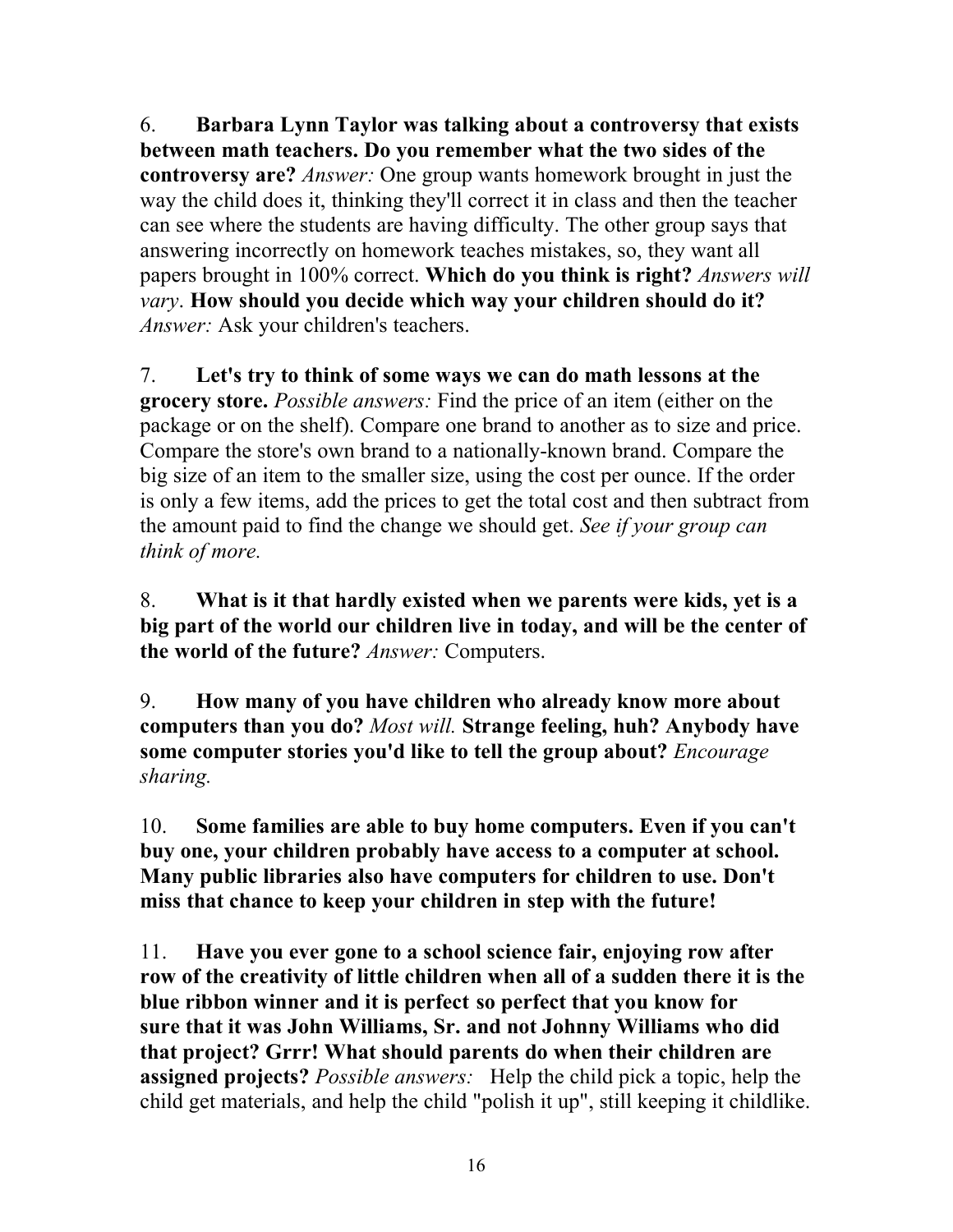6. **Barbara Lynn Taylor was talking about a controversy that exists between math teachers. Do you remember what the two sides of the controversy are?** *Answer:* One group wants homework brought in just the way the child does it, thinking they'll correct it in class and then the teacher can see where the students are having difficulty. The other group says that answering incorrectly on homework teaches mistakes, so, they want all papers brought in 100% correct. **Which do you think is right?** *Answers will vary*. **How should you decide which way your children should do it?** *Answer:* Ask your children's teachers.

7. **Let's try to think of some ways we can do math lessons at the grocery store.** *Possible answers:* Find the price of an item (either on the package or on the shelf). Compare one brand to another as to size and price. Compare the store's own brand to a nationally-known brand. Compare the big size of an item to the smaller size, using the cost per ounce. If the order is only a few items, add the prices to get the total cost and then subtract from the amount paid to find the change we should get. *See if your group can think of more.*

8. **What is it that hardly existed when we parents were kids, yet is a big part of the world our children live in today, and will be the center of the world of the future?** *Answer:* Computers.

9. **How many of you have children who already know more about computers than you do?** *Most will.* **Strange feeling, huh? Anybody have some computer stories you'd like to tell the group about?** *Encourage sharing.*

10. **Some families are able to buy home computers. Even if you can't buy one, your children probably have access to a computer at school. Many public libraries also have computers for children to use. Don't miss that chance to keep your children in step with the future!**

11. **Have you ever gone to a school science fair, enjoying row after row of the creativity of little children when all of a sudden there it is the blue ribbon winner and it is perfect so perfect that you know for sure that it was John Williams, Sr. and not Johnny Williams who did that project? Grrr! What should parents do when their children are assigned projects?** *Possible answers:* Help the child pick a topic, help the child get materials, and help the child "polish it up", still keeping it childlike.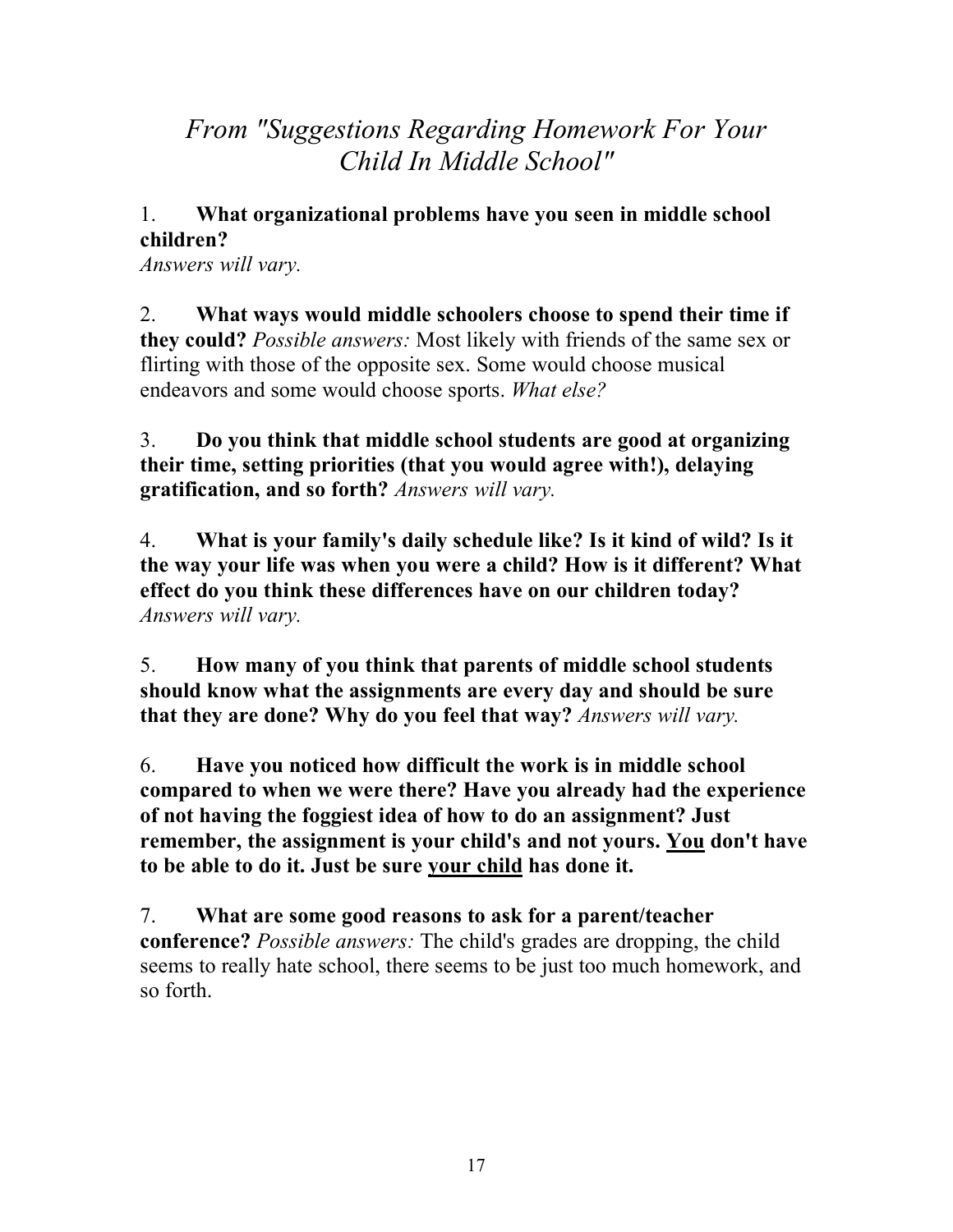## *From "Suggestions Regarding Homework For Your Child In Middle School"*

#### 1. **What organizational problems have you seen in middle school children?**

*Answers will vary.*

2. **What ways would middle schoolers choose to spend their time if they could?** *Possible answers:* Most likely with friends of the same sex or flirting with those of the opposite sex. Some would choose musical endeavors and some would choose sports. *What else?*

3. **Do you think that middle school students are good at organizing their time, setting priorities (that you would agree with!), delaying gratification, and so forth?** *Answers will vary.*

4. **What is your family's daily schedule like? Is it kind of wild? Is it the way your life was when you were a child? How is it different? What effect do you think these differences have on our children today?** *Answers will vary.*

5. **How many of you think that parents of middle school students should know what the assignments are every day and should be sure that they are done? Why do you feel that way?** *Answers will vary.*

6. **Have you noticed how difficult the work is in middle school compared to when we were there? Have you already had the experience of not having the foggiest idea of how to do an assignment? Just remember, the assignment is your child's and not yours. You don't have to be able to do it. Just be sure your child has done it.**

7. **What are some good reasons to ask for a parent/teacher conference?** *Possible answers:* The child's grades are dropping, the child seems to really hate school, there seems to be just too much homework, and so forth.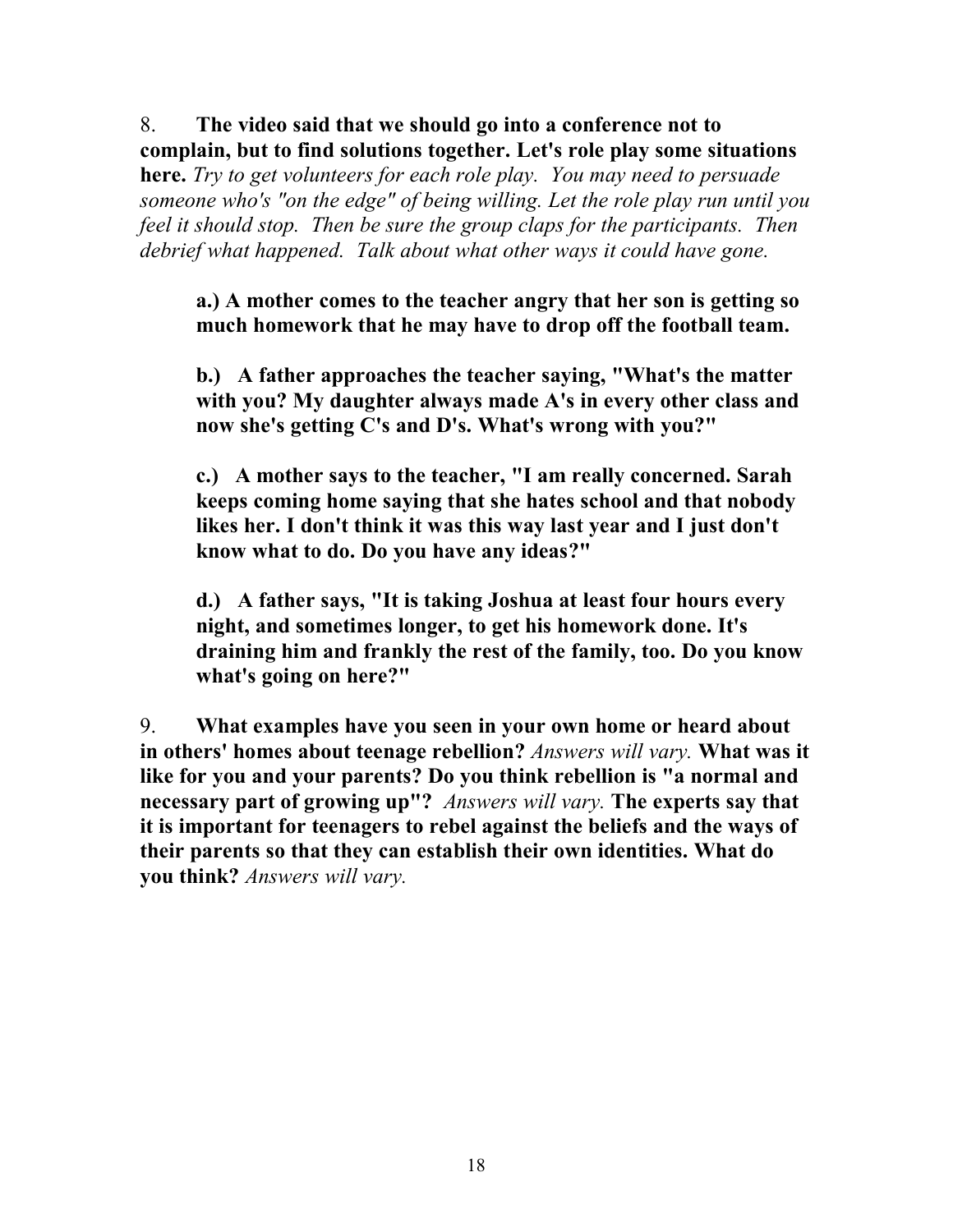8. **The video said that we should go into a conference not to complain, but to find solutions together. Let's role play some situations**

**here.** *Try to get volunteers for each role play. You may need to persuade someone who's "on the edge" of being willing. Let the role play run until you feel it should stop. Then be sure the group claps for the participants. Then debrief what happened. Talk about what other ways it could have gone.*

**a.) A mother comes to the teacher angry that her son is getting so much homework that he may have to drop off the football team.**

**b.) A father approaches the teacher saying, "What's the matter with you? My daughter always made A's in every other class and now she's getting C's and D's. What's wrong with you?"**

**c.) A mother says to the teacher, "I am really concerned. Sarah keeps coming home saying that she hates school and that nobody likes her. I don't think it was this way last year and I just don't know what to do. Do you have any ideas?"**

**d.) A father says, "It is taking Joshua at least four hours every night, and sometimes longer, to get his homework done. It's draining him and frankly the rest of the family, too. Do you know what's going on here?"**

9. **What examples have you seen in your own home or heard about in others' homes about teenage rebellion?** *Answers will vary.* **What was it like for you and your parents? Do you think rebellion is "a normal and necessary part of growing up"?** *Answers will vary.* **The experts say that it is important for teenagers to rebel against the beliefs and the ways of their parents so that they can establish their own identities. What do you think?** *Answers will vary.*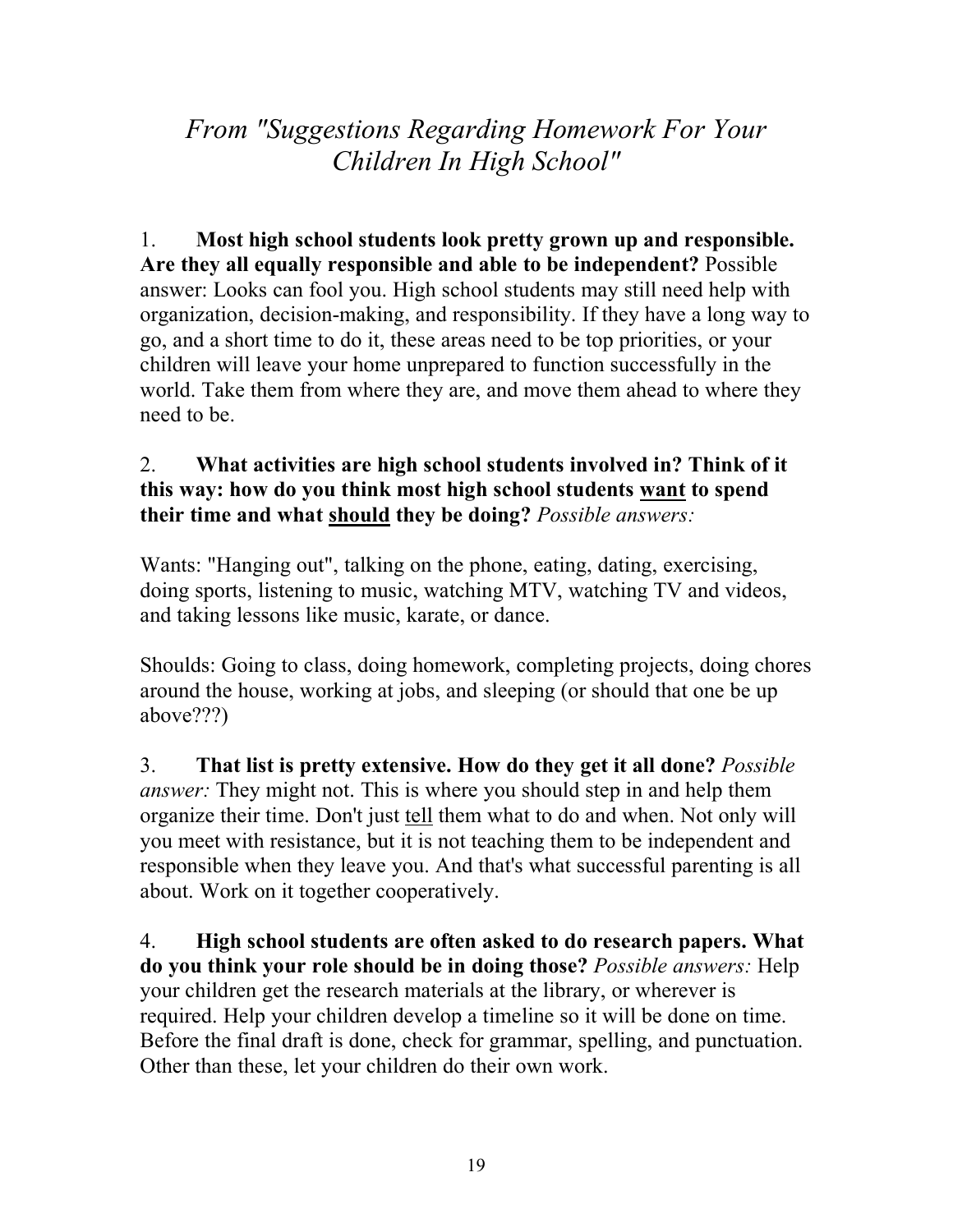*From "Suggestions Regarding Homework For Your Children In High School"*

1. **Most high school students look pretty grown up and responsible. Are they all equally responsible and able to be independent?** Possible answer: Looks can fool you. High school students may still need help with organization, decision-making, and responsibility. If they have a long way to go, and a short time to do it, these areas need to be top priorities, or your children will leave your home unprepared to function successfully in the world. Take them from where they are, and move them ahead to where they need to be.

#### 2. **What activities are high school students involved in? Think of it this way: how do you think most high school students want to spend their time and what should they be doing?** *Possible answers:*

Wants: "Hanging out", talking on the phone, eating, dating, exercising, doing sports, listening to music, watching MTV, watching TV and videos, and taking lessons like music, karate, or dance.

Shoulds: Going to class, doing homework, completing projects, doing chores around the house, working at jobs, and sleeping (or should that one be up above???)

3. **That list is pretty extensive. How do they get it all done?** *Possible answer:* They might not. This is where you should step in and help them organize their time. Don't just tell them what to do and when. Not only will you meet with resistance, but it is not teaching them to be independent and responsible when they leave you. And that's what successful parenting is all about. Work on it together cooperatively.

4. **High school students are often asked to do research papers. What do you think your role should be in doing those?** *Possible answers:* Help your children get the research materials at the library, or wherever is required. Help your children develop a timeline so it will be done on time. Before the final draft is done, check for grammar, spelling, and punctuation. Other than these, let your children do their own work.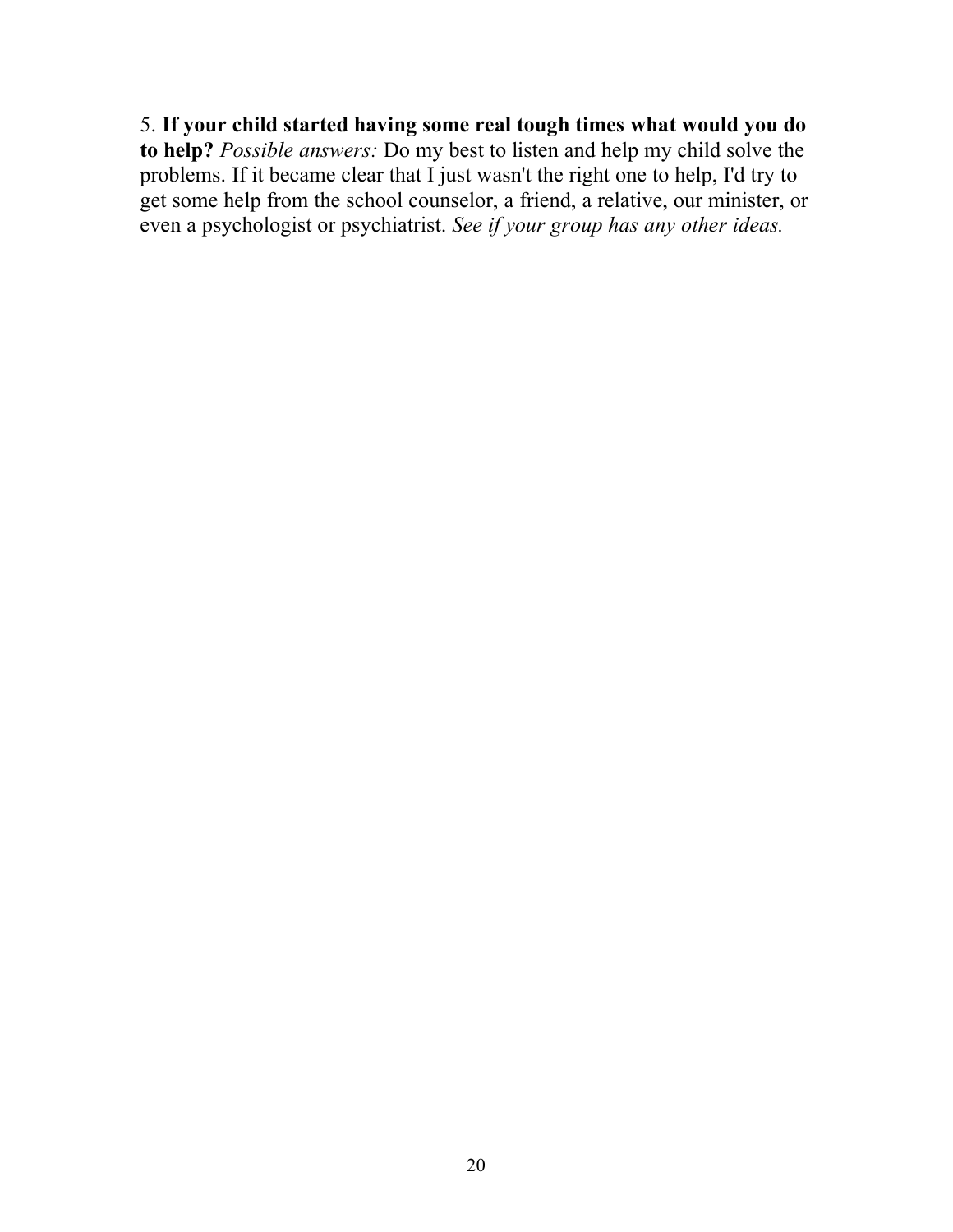5. **If your child started having some real tough times what would you do to help?** *Possible answers:* Do my best to listen and help my child solve the problems. If it became clear that I just wasn't the right one to help, I'd try to get some help from the school counselor, a friend, a relative, our minister, or even a psychologist or psychiatrist. *See if your group has any other ideas.*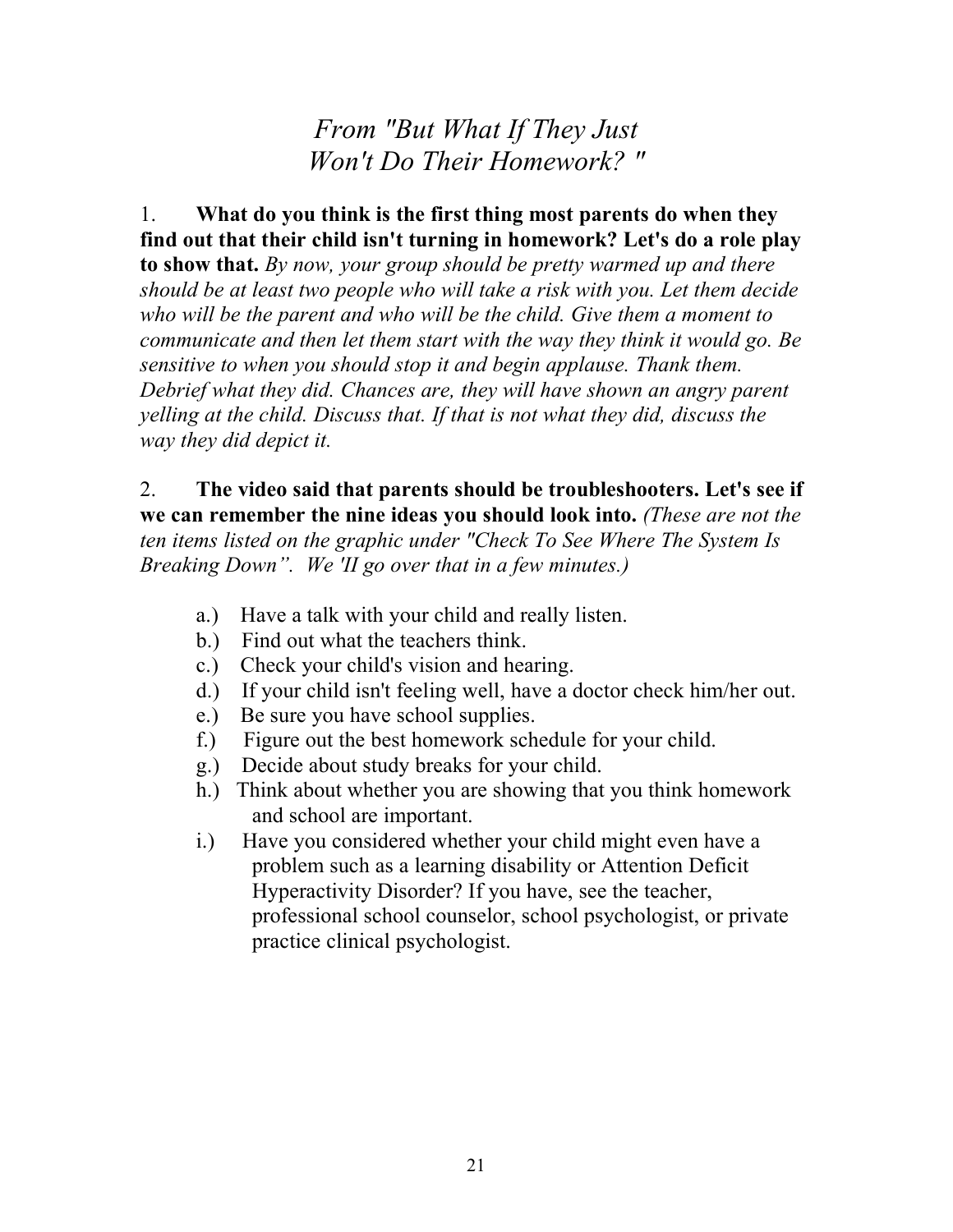*From "But What If They Just Won't Do Their Homework? "*

#### 1. **What do you think is the first thing most parents do when they find out that their child isn't turning in homework? Let's do a role play**

**to show that.** *By now, your group should be pretty warmed up and there should be at least two people who will take a risk with you. Let them decide who will be the parent and who will be the child. Give them a moment to communicate and then let them start with the way they think it would go. Be sensitive to when you should stop it and begin applause. Thank them. Debrief what they did. Chances are, they will have shown an angry parent yelling at the child. Discuss that. If that is not what they did, discuss the way they did depict it.*

2. **The video said that parents should be troubleshooters. Let's see if we can remember the nine ideas you should look into.** *(These are not the ten items listed on the graphic under "Check To See Where The System Is Breaking Down". We 'II go over that in a few minutes.)*

- a.) Have a talk with your child and really listen.
- b.) Find out what the teachers think.
- c.) Check your child's vision and hearing.
- d.) If your child isn't feeling well, have a doctor check him/her out.
- e.) Be sure you have school supplies.
- f.) Figure out the best homework schedule for your child.
- g.) Decide about study breaks for your child.
- h.) Think about whether you are showing that you think homework and school are important.
- i.) Have you considered whether your child might even have a problem such as a learning disability or Attention Deficit Hyperactivity Disorder? If you have, see the teacher, professional school counselor, school psychologist, or private practice clinical psychologist.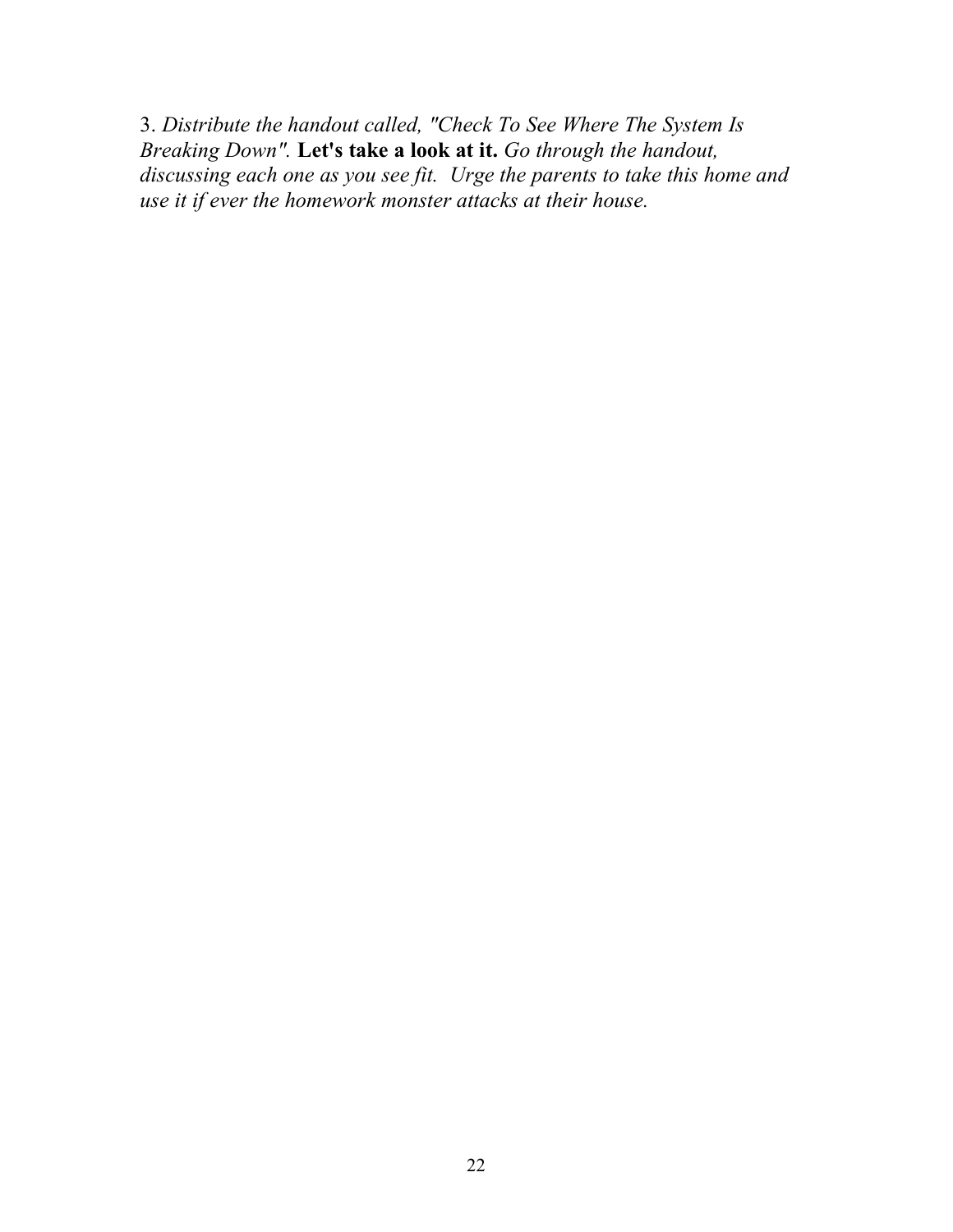3. *Distribute the handout called, "Check To See Where The System Is Breaking Down".* **Let's take a look at it.** *Go through the handout, discussing each one as you see fit. Urge the parents to take this home and use it if ever the homework monster attacks at their house.*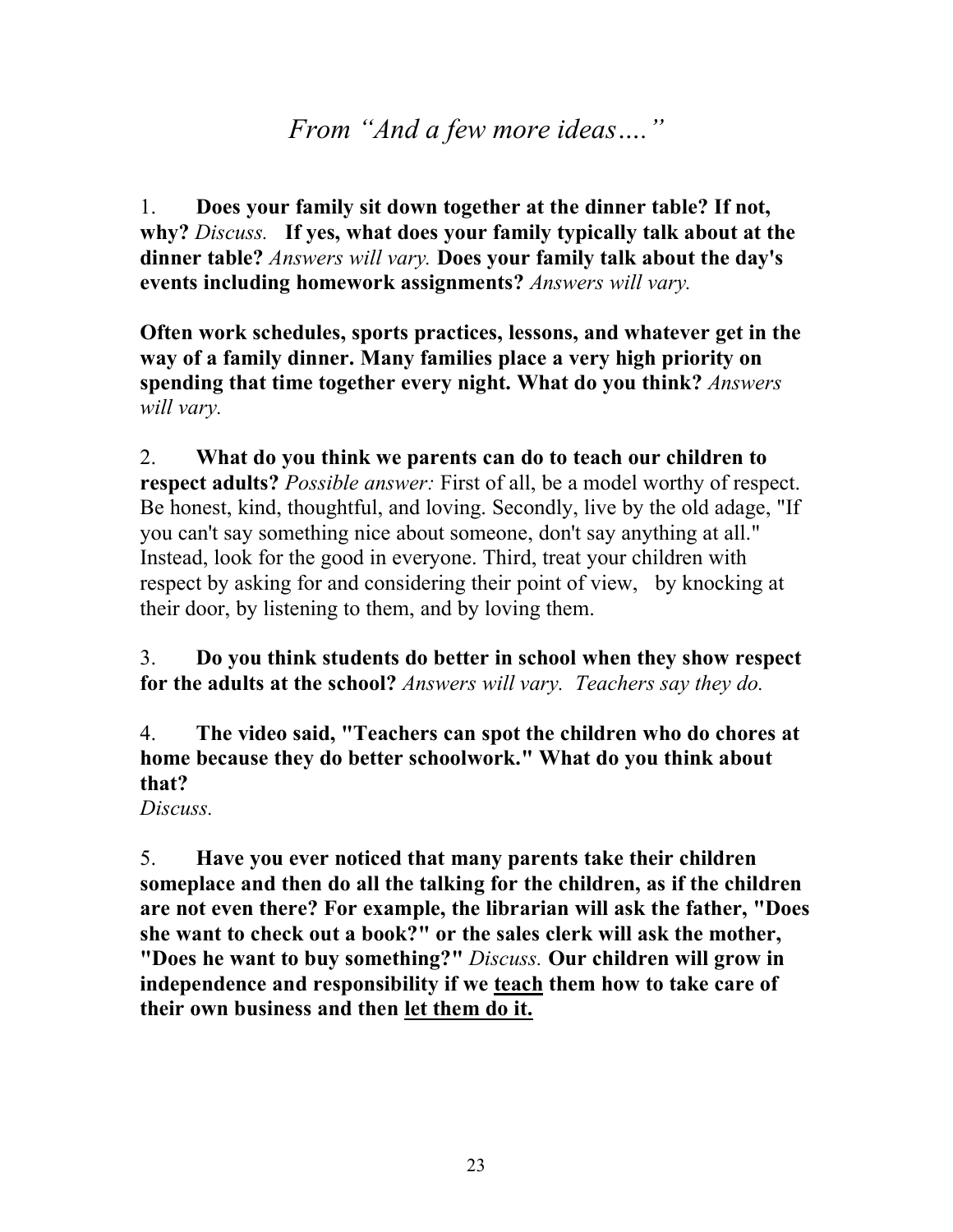### *From "And a few more ideas…."*

1. **Does your family sit down together at the dinner table? If not, why?** *Discuss.* **If yes, what does your family typically talk about at the dinner table?** *Answers will vary.* **Does your family talk about the day's events including homework assignments?** *Answers will vary.*

**Often work schedules, sports practices, lessons, and whatever get in the way of a family dinner. Many families place a very high priority on spending that time together every night. What do you think?** *Answers will vary.*

2. **What do you think we parents can do to teach our children to respect adults?** *Possible answer:* First of all, be a model worthy of respect. Be honest, kind, thoughtful, and loving. Secondly, live by the old adage, "If you can't say something nice about someone, don't say anything at all." Instead, look for the good in everyone. Third, treat your children with respect by asking for and considering their point of view, by knocking at their door, by listening to them, and by loving them.

3. **Do you think students do better in school when they show respect for the adults at the school?** *Answers will vary. Teachers say they do.*

4. **The video said, "Teachers can spot the children who do chores at home because they do better schoolwork." What do you think about that?**

*Discuss.*

5. **Have you ever noticed that many parents take their children someplace and then do all the talking for the children, as if the children are not even there? For example, the librarian will ask the father, "Does she want to check out a book?" or the sales clerk will ask the mother, "Does he want to buy something?"** *Discuss.* **Our children will grow in independence and responsibility if we teach them how to take care of their own business and then let them do it.**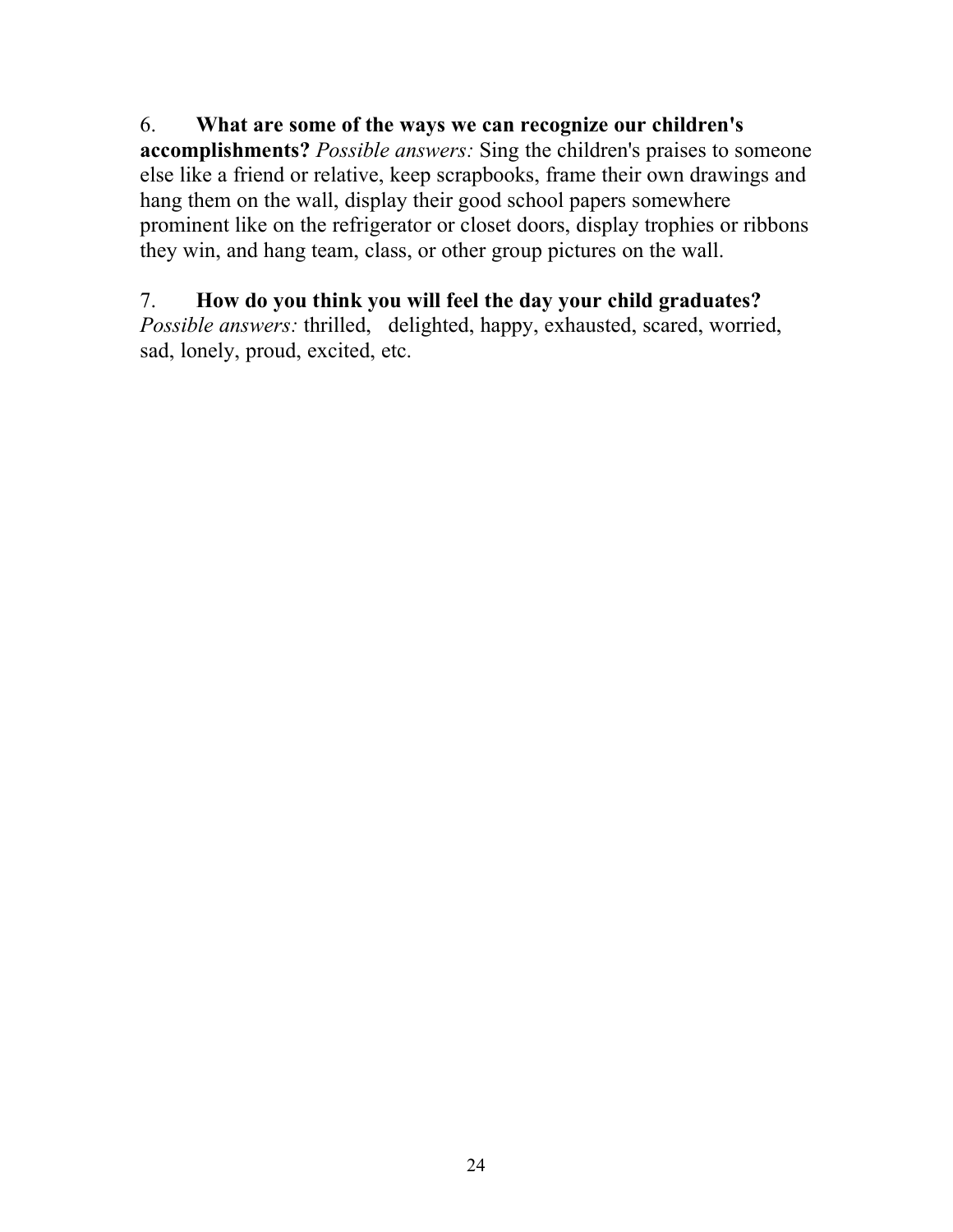#### 6. **What are some of the ways we can recognize our children's**

**accomplishments?** *Possible answers:* Sing the children's praises to someone else like a friend or relative, keep scrapbooks, frame their own drawings and hang them on the wall, display their good school papers somewhere prominent like on the refrigerator or closet doors, display trophies or ribbons they win, and hang team, class, or other group pictures on the wall.

#### 7. **How do you think you will feel the day your child graduates?**

*Possible answers:* thrilled, delighted, happy, exhausted, scared, worried, sad, lonely, proud, excited, etc.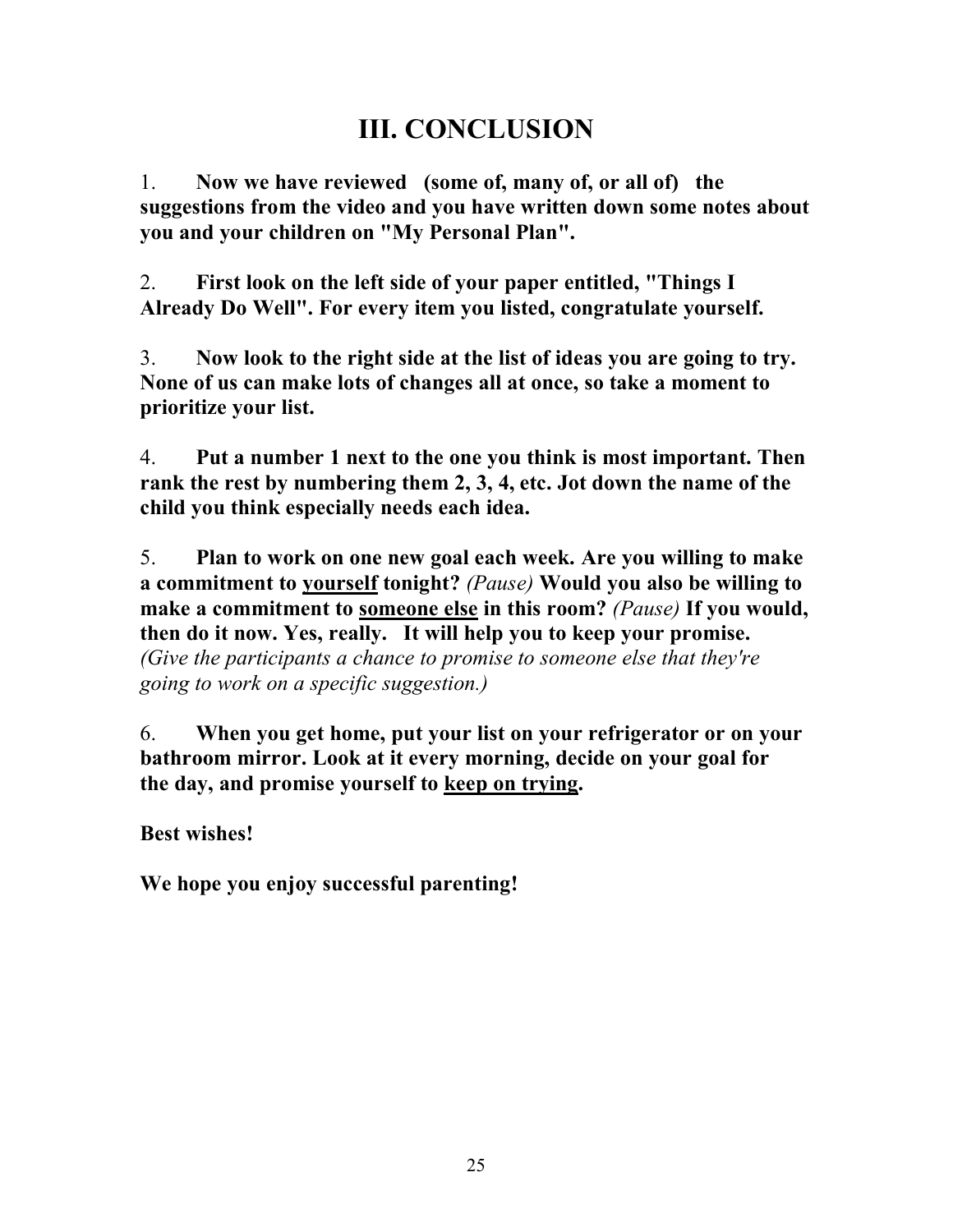## **III. CONCLUSION**

1. **Now we have reviewed (some of, many of, or all of) the suggestions from the video and you have written down some notes about you and your children on "My Personal Plan".**

2. **First look on the left side of your paper entitled, "Things I Already Do Well". For every item you listed, congratulate yourself.**

3. **Now look to the right side at the list of ideas you are going to try. None of us can make lots of changes all at once, so take a moment to prioritize your list.**

4. **Put a number 1 next to the one you think is most important. Then rank the rest by numbering them 2, 3, 4, etc. Jot down the name of the child you think especially needs each idea.**

5. **Plan to work on one new goal each week. Are you willing to make a commitment to yourself tonight?** *(Pause)* **Would you also be willing to make a commitment to someone else in this room?** *(Pause)* **If you would, then do it now. Yes, really. It will help you to keep your promise.** *(Give the participants a chance to promise to someone else that they're going to work on a specific suggestion.)*

6. **When you get home, put your list on your refrigerator or on your bathroom mirror. Look at it every morning, decide on your goal for the day, and promise yourself to keep on trying.**

**Best wishes!**

**We hope you enjoy successful parenting!**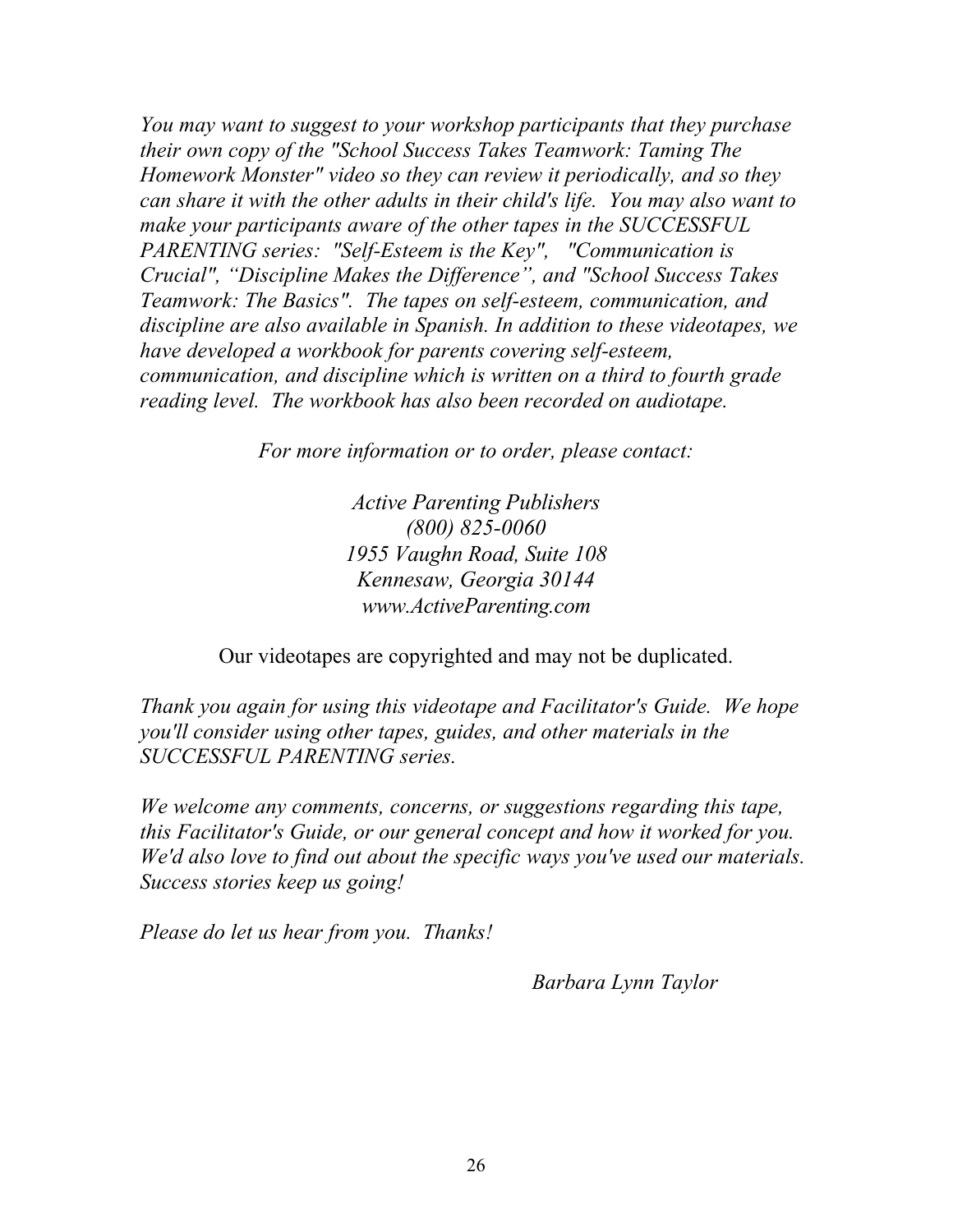*You may want to suggest to your workshop participants that they purchase their own copy of the "School Success Takes Teamwork: Taming The Homework Monster" video so they can review it periodically, and so they can share it with the other adults in their child's life. You may also want to make your participants aware of the other tapes in the SUCCESSFUL PARENTING series: "Self-Esteem is the Key", "Communication is Crucial", "Discipline Makes the Difference", and "School Success Takes Teamwork: The Basics". The tapes on self-esteem, communication, and discipline are also available in Spanish. In addition to these videotapes, we have developed a workbook for parents covering self-esteem, communication, and discipline which is written on a third to fourth grade reading level. The workbook has also been recorded on audiotape.*

*For more information or to order, please contact:*

*Active Parenting Publishers (800) 825-0060 1955 Vaughn Road, Suite 108 Kennesaw, Georgia 30144 www.ActiveParenting.com*

Our videotapes are copyrighted and may not be duplicated.

*Thank you again for using this videotape and Facilitator's Guide. We hope you'll consider using other tapes, guides, and other materials in the SUCCESSFUL PARENTING series.*

*We welcome any comments, concerns, or suggestions regarding this tape, this Facilitator's Guide, or our general concept and how it worked for you. We'd also love to find out about the specific ways you've used our materials. Success stories keep us going!*

*Please do let us hear from you. Thanks!*

*Barbara Lynn Taylor*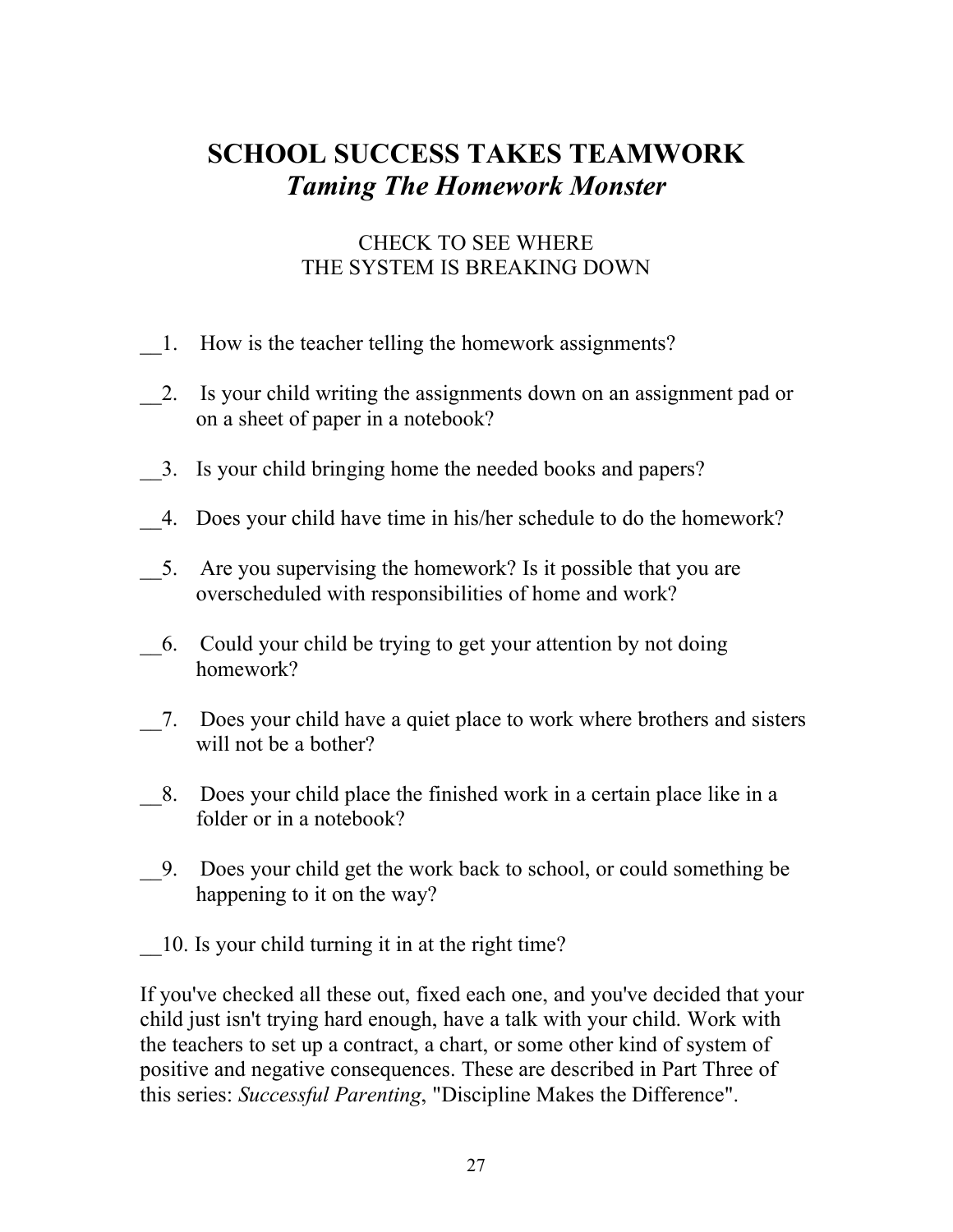## **SCHOOL SUCCESS TAKES TEAMWORK** *Taming The Homework Monster*

#### CHECK TO SEE WHERE THE SYSTEM IS BREAKING DOWN

- \_\_1. How is the teacher telling the homework assignments?
- 2. Is your child writing the assignments down on an assignment pad or on a sheet of paper in a notebook?
- \_\_3. Is your child bringing home the needed books and papers?
- \_\_4. Does your child have time in his/her schedule to do the homework?
- \_\_5. Are you supervising the homework? Is it possible that you are overscheduled with responsibilities of home and work?
- \_\_6. Could your child be trying to get your attention by not doing homework?
- \_\_7. Does your child have a quiet place to work where brothers and sisters will not be a bother?
- \_\_8. Does your child place the finished work in a certain place like in a folder or in a notebook?
- \_\_9. Does your child get the work back to school, or could something be happening to it on the way?
- \_\_10. Is your child turning it in at the right time?

If you've checked all these out, fixed each one, and you've decided that your child just isn't trying hard enough, have a talk with your child. Work with the teachers to set up a contract, a chart, or some other kind of system of positive and negative consequences. These are described in Part Three of this series: *Successful Parenting*, "Discipline Makes the Difference".